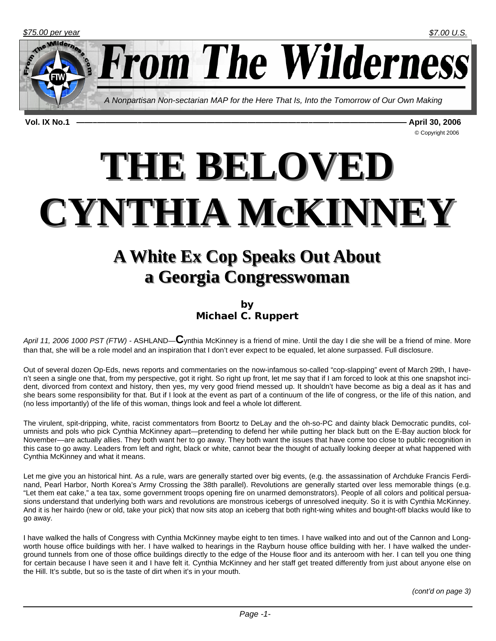© Copyright 2006

**From The Wilderness** 

*A Nonpartisan Non-sectarian MAP for the Here That Is, Into the Tomorrow of Our Own Making* 

**Vol. IX No.1 ——–—————–———————————————————–—–——–————————— April 30, 2006** 

THE BELOVED **CYNTHIA McKINNEY CYNTHIA McKINNEY**

## **A White Ex Cop Speaks Out About A White Ex Cop Speaks Out About a Georgia Congresswoman a Georgia Congresswoman**

**by Michael C. Ruppert**

*April 11, 2006 1000 PST (FTW) -* ASHLAND—**C**ynthia McKinney is a friend of mine. Until the day I die she will be a friend of mine. More than that, she will be a role model and an inspiration that I don't ever expect to be equaled, let alone surpassed. Full disclosure.

Out of several dozen Op-Eds, news reports and commentaries on the now-infamous so-called "cop-slapping" event of March 29th, I haven't seen a single one that, from my perspective, got it right. So right up front, let me say that if I am forced to look at this one snapshot incident, divorced from context and history, then yes, my very good friend messed up. It shouldn't have become as big a deal as it has and she bears some responsibility for that. But if I look at the event as part of a continuum of the life of congress, or the life of this nation, and (no less importantly) of the life of this woman, things look and feel a whole lot different.

The virulent, spit-dripping, white, racist commentators from Boortz to DeLay and the oh-so-PC and dainty black Democratic pundits, columnists and pols who pick Cynthia McKinney apart—pretending to defend her while putting her black butt on the E-Bay auction block for November—are actually allies. They both want her to go away. They both want the issues that have come too close to public recognition in this case to go away. Leaders from left and right, black or white, cannot bear the thought of actually looking deeper at what happened with Cynthia McKinney and what it means.

Let me give you an historical hint. As a rule, wars are generally started over big events, (e.g. the assassination of Archduke Francis Ferdinand, Pearl Harbor, North Korea's Army Crossing the 38th parallel). Revolutions are generally started over less memorable things (e.g. "Let them eat cake," a tea tax, some government troops opening fire on unarmed demonstrators). People of all colors and political persuasions understand that underlying both wars and revolutions are monstrous icebergs of unresolved inequity. So it is with Cynthia McKinney. And it is her hairdo (new or old, take your pick) that now sits atop an iceberg that both right-wing whites and bought-off blacks would like to go away.

I have walked the halls of Congress with Cynthia McKinney maybe eight to ten times. I have walked into and out of the Cannon and Longworth house office buildings with her. I have walked to hearings in the Rayburn house office building with her. I have walked the underground tunnels from one of those office buildings directly to the edge of the House floor and its anteroom with her. I can tell you one thing for certain because I have seen it and I have felt it. Cynthia McKinney and her staff get treated differently from just about anyone else on the Hill. It's subtle, but so is the taste of dirt when it's in your mouth.

*(cont'd on page 3)*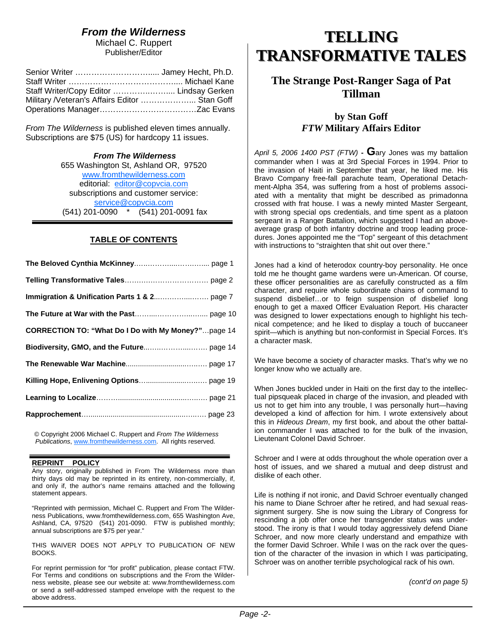## *From the Wilderness*

Michael C. Ruppert Publisher/Editor

| Staff Writer/Copy Editor  Lindsay Gerken      |  |
|-----------------------------------------------|--|
| Military /Veteran's Affairs Editor  Stan Goff |  |
|                                               |  |

*From The Wilderness* is published eleven times annually. Subscriptions are \$75 (US) for hardcopy 11 issues.

#### *From The Wilderness*

655 Washington St, Ashland OR, 97520 www.fromthewilderness.com editorial: editor@copvcia.com subscriptions and customer service: service@copvcia.com (541) 201-0090 \* (541) 201-0091 fax

### **TABLE OF CONTENTS**

| <b>CORRECTION TO: "What Do I Do with My Money?"page 14</b> |
|------------------------------------------------------------|
|                                                            |
|                                                            |
|                                                            |
|                                                            |
|                                                            |

© Copyright 2006 Michael C. Ruppert and *From The Wilderness Publications*, www.fromthewilderness.com. All rights reserved.

#### **REPRINT POLICY**

Any story, originally published in From The Wilderness more than thirty days old may be reprinted in its entirety, non-commercially, if, and only if, the author's name remains attached and the following statement appears.

"Reprinted with permission, Michael C. Ruppert and From The Wilderness Publications, www.fromthewilderness.com, 655 Washington Ave, Ashland, CA, 97520 (541) 201-0090. FTW is published monthly; annual subscriptions are \$75 per year."

THIS WAIVER DOES NOT APPLY TO PUBLICATION OF NEW BOOKS.

For reprint permission for "for profit" publication, please contact FTW. For Terms and conditions on subscriptions and the From the Wilderness website, please see our website at: www.fromthewilderness.com or send a self-addressed stamped envelope with the request to the above address.

## **TELLING TELLING TRANSFORMATIVE TALES TRANSFORMATIVE TALES**

## **The Strange Post-Ranger Saga of Pat Tillman**

### **by Stan Goff**  *FTW* **Military Affairs Editor**

*April 5, 2006 1400 PST (FTW)* **- G**ary Jones was my battalion commander when I was at 3rd Special Forces in 1994. Prior to the invasion of Haiti in September that year, he liked me. His Bravo Company free-fall parachute team, Operational Detachment-Alpha 354, was suffering from a host of problems associated with a mentality that might be described as primadonna crossed with frat house. I was a newly minted Master Sergeant, with strong special ops credentials, and time spent as a platoon sergeant in a Ranger Battalion, which suggested I had an aboveaverage grasp of both infantry doctrine and troop leading procedures. Jones appointed me the "Top" sergeant of this detachment with instructions to "straighten that shit out over there."

Jones had a kind of heterodox country-boy personality. He once told me he thought game wardens were un-American. Of course, these officer personalities are as carefully constructed as a film character, and require whole subordinate chains of command to suspend disbelief…or to feign suspension of disbelief long enough to get a maxed Officer Evaluation Report. His character was designed to lower expectations enough to highlight his technical competence; and he liked to display a touch of buccaneer spirit—which is anything but non-conformist in Special Forces. It's a character mask.

We have become a society of character masks. That's why we no longer know who we actually are.

When Jones buckled under in Haiti on the first day to the intellectual pipsqueak placed in charge of the invasion, and pleaded with us not to get him into any trouble, I was personally hurt—having developed a kind of affection for him. I wrote extensively about this in *Hideous Dream*, my first book, and about the other battalion commander I was attached to for the bulk of the invasion, Lieutenant Colonel David Schroer.

Schroer and I were at odds throughout the whole operation over a host of issues, and we shared a mutual and deep distrust and dislike of each other.

Life is nothing if not ironic, and David Schroer eventually changed his name to Diane Schroer after he retired, and had sexual reassignment surgery. She is now suing the Library of Congress for rescinding a job offer once her transgender status was understood. The irony is that I would today aggressively defend Diane Schroer, and now more clearly understand and empathize with the former David Schroer. While I was on the rack over the question of the character of the invasion in which I was participating, Schroer was on another terrible psychological rack of his own.

*(cont'd on page 5)*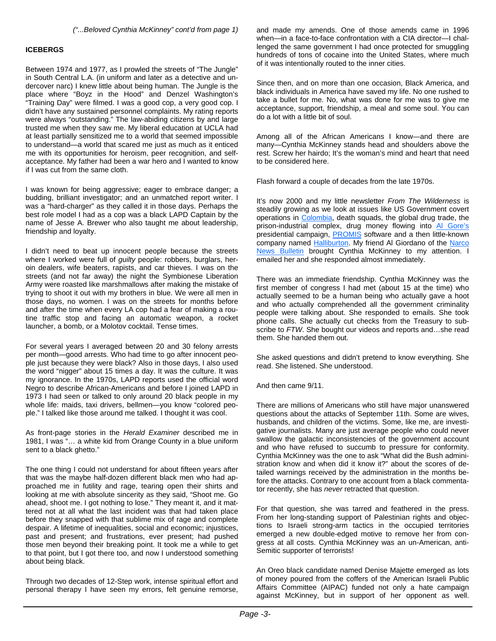#### **ICEBERGS**

Between 1974 and 1977, as I prowled the streets of "The Jungle" in South Central L.A. (in uniform and later as a detective and undercover narc) I knew little about being human. The Jungle is the place where "Boyz in the Hood" and Denzel Washington's "Training Day" were filmed. I was a good cop, a very good cop. I didn't have any sustained personnel complaints. My rating reports were always "outstanding." The law-abiding citizens by and large trusted me when they saw me. My liberal education at UCLA had at least partially sensitized me to a world that seemed impossible to understand—a world that scared me just as much as it enticed me with its opportunities for heroism, peer recognition, and selfacceptance. My father had been a war hero and I wanted to know if I was cut from the same cloth.

I was known for being aggressive; eager to embrace danger; a budding, brilliant investigator; and an unmatched report writer. I was a "hard-charger" as they called it in those days. Perhaps the best role model I had as a cop was a black LAPD Captain by the name of Jesse A. Brewer who also taught me about leadership, friendship and loyalty.

I didn't need to beat up innocent people because the streets where I worked were full of *guilty* people: robbers, burglars, heroin dealers, wife beaters, rapists, and car thieves. I was on the streets (and not far away) the night the Symbionese Liberation Army were roasted like marshmallows after making the mistake of trying to shoot it out with my brothers in blue. We were all men in those days, no women. I was on the streets for months before and after the time when every LA cop had a fear of making a routine traffic stop and facing an automatic weapon, a rocket launcher, a bomb, or a Molotov cocktail. Tense times.

For several years I averaged between 20 and 30 felony arrests per month—good arrests. Who had time to go after innocent people just because they were black? Also in those days, I also used the word "nigger" about 15 times a day. It was the culture. It was my ignorance. In the 1970s, LAPD reports used the official word Negro to describe African-Americans and before I joined LAPD in 1973 I had seen or talked to only around 20 black people in my whole life: maids, taxi drivers, bellmen—you know "colored people." I talked like those around me talked. I thought it was cool.

As front-page stories in the *Herald Examiner* described me in 1981, I was "… a white kid from Orange County in a blue uniform sent to a black ghetto."

The one thing I could not understand for about fifteen years after that was the maybe half-dozen different black men who had approached me in futility and rage, tearing open their shirts and looking at me with absolute sincerity as they said, "Shoot me. Go ahead, shoot me. I got nothing to lose." They meant it, and it mattered not at all what the last incident was that had taken place before they snapped with that sublime mix of rage and complete despair. A lifetime of inequalities, social and economic; injustices, past and present; and frustrations, ever present; had pushed those men beyond their breaking point. It took me a while to get to that point, but I got there too, and now I understood something about being black.

Through two decades of 12-Step work, intense spiritual effort and personal therapy I have seen my errors, felt genuine remorse,

and made my amends. One of those amends came in 1996 when—in a face-to-face confrontation with a CIA director—I challenged the same government I had once protected for smuggling hundreds of tons of cocaine into the United States, where much of it was intentionally routed to the inner cities.

Since then, and on more than one occasion, Black America, and black individuals in America have saved my life. No one rushed to take a bullet for me. No, what was done for me was to give me acceptance, support, friendship, a meal and some soul. You can do a lot with a little bit of soul.

Among all of the African Americans I know—and there are many—Cynthia McKinney stands head and shoulders above the rest. Screw her hairdo; It's the woman's mind and heart that need to be considered here.

Flash forward a couple of decades from the late 1970s.

It's now 2000 and my little newsletter *From The Wilderness* is steadily growing as we look at issues like US Government covert operations in Colombia, death squads, the global drug trade, the prison-industrial complex, drug money flowing into Al Gore's presidential campaign, **PROMIS** software and a then little-known company named Halliburton. My friend Al Giordano of the Narco News Bulletin brought Cynthia McKinney to my attention. I emailed her and she responded almost immediately.

There was an immediate friendship. Cynthia McKinney was the first member of congress I had met (about 15 at the time) who actually seemed to be a human being who actually gave a hoot and who actually comprehended all the government criminality people were talking about. She responded to emails. She took phone calls. She actually cut checks from the Treasury to subscribe to *FTW*. She bought our videos and reports and…she read them. She handed them out.

She asked questions and didn't pretend to know everything. She read. She listened. She understood.

And then came 9/11.

There are millions of Americans who still have major unanswered questions about the attacks of September 11th. Some are wives, husbands, and children of the victims. Some, like me, are investigative journalists. Many are just average people who could never swallow the galactic inconsistencies of the government account and who have refused to succumb to pressure for conformity. Cynthia McKinney was the one to ask "What did the Bush administration know and when did it know it?" about the scores of detailed warnings received by the administration in the months before the attacks. Contrary to one account from a black commentator recently, she has *never* retracted that question.

For that question, she was tarred and feathered in the press. From her long-standing support of Palestinian rights and objections to Israeli strong-arm tactics in the occupied territories emerged a new double-edged motive to remove her from congress at all costs. Cynthia McKinney was an un-American, anti-Semitic supporter of terrorists!

An Oreo black candidate named Denise Majette emerged as lots of money poured from the coffers of the American Israeli Public Affairs Committee (AIPAC) funded not only a hate campaign against McKinney, but in support of her opponent as well.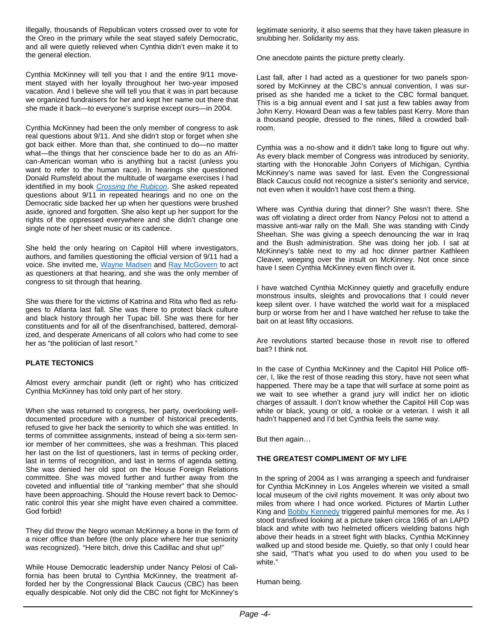Illegally, thousands of Republican voters crossed over to vote for the Oreo in the primary while the seat stayed safely Democratic, and all were quietly relieved when Cynthia didn't even make it to the general election.

Cynthia McKinney will tell you that I and the entire 9/11 movement stayed with her loyally throughout her two-year imposed vacation. And I believe she will tell you that it was in part because we organized fundraisers for her and kept her name out there that she made it back—to everyone's surprise except ours—in 2004.

Cynthia McKinney had been the only member of congress to ask real questions about 9/11. And she didn't stop or forget when she got back either. More than that, she continued to do—no matter what—the things that her conscience bade her to do as an African-American woman who is anything but a racist (unless you want to refer to the human race). In hearings she questioned Donald Rumsfeld about the multitude of wargame exercises I had identified in my book *Crossing the Rubicon*. She asked repeated questions about 9/11 in repeated hearings and no one on the Democratic side backed her up when her questions were brushed aside, ignored and forgotten. She also kept up her support for the rights of the oppressed everywhere and she didn't change one single note of her sheet music or its cadence.

She held the only hearing on Capitol Hill where investigators, authors, and families questioning the official version of 9/11 had a voice. She invited me, Wayne Madsen and Ray McGovern to act as questioners at that hearing, and she was the only member of congress to sit through that hearing.

She was there for the victims of Katrina and Rita who fled as refugees to Atlanta last fall. She was there to protect black culture and black history through her Tupac bill. She was there for her constituents and for all of the disenfranchised, battered, demoralized, and desperate Americans of all colors who had come to see her as "the politician of last resort."

#### **PLATE TECTONICS**

Almost every armchair pundit (left or right) who has criticized Cynthia McKinney has told only part of her story.

When she was returned to congress, her party, overlooking welldocumented procedure with a number of historical precedents, refused to give her back the seniority to which she was entitled. In terms of committee assignments, instead of being a six-term senior member of her committees, she was a freshman. This placed her last on the list of questioners, last in terms of pecking order, last in terms of recognition, and last in terms of agenda setting. She was denied her old spot on the House Foreign Relations committee. She was moved further and further away from the coveted and influential title of "ranking member" that she should have been approaching. Should the House revert back to Democratic control this year she might have even chaired a committee. God forbid!

They did throw the Negro woman McKinney a bone in the form of a nicer office than before (the only place where her true seniority was recognized). "Here bitch, drive this Cadillac and shut up!"

While House Democratic leadership under Nancy Pelosi of California has been brutal to Cynthia McKinney, the treatment afforded her by the Congressional Black Caucus (CBC) has been equally despicable. Not only did the CBC not fight for McKinney's legitimate seniority, it also seems that they have taken pleasure in snubbing her. Solidarity my ass.

One anecdote paints the picture pretty clearly.

Last fall, after I had acted as a questioner for two panels sponsored by McKinney at the CBC's annual convention, I was surprised as she handed me a ticket to the CBC formal banquet. This is a big annual event and I sat just a few tables away from John Kerry. Howard Dean was a few tables past Kerry. More than a thousand people, dressed to the nines, filled a crowded ballroom.

Cynthia was a no-show and it didn't take long to figure out why. As every black member of Congress was introduced by seniority, starting with the Honorable John Conyers of Michigan, Cynthia McKinney's name was saved for last. Even the Congressional Black Caucus could not recognize a sister's seniority and service, not even when it wouldn't have cost them a thing.

Where was Cynthia during that dinner? She wasn't there. She was off violating a direct order from Nancy Pelosi not to attend a massive anti-war rally on the Mall. She was standing with Cindy Sheehan. She was giving a speech denouncing the war in Iraq and the Bush administration. She was doing her job. I sat at McKinney's table next to my ad hoc dinner partner Kathleen Cleaver, weeping over the insult on McKinney. Not once since have I seen Cynthia McKinney even flinch over it.

I have watched Cynthia McKinney quietly and gracefully endure monstrous insults, sleights and provocations that I could never keep silent over. I have watched the world wait for a misplaced burp or worse from her and I have watched her refuse to take the bait on at least fifty occasions.

Are revolutions started because those in revolt rise to offered bait? I think not.

In the case of Cynthia McKinney and the Capitol Hill Police officer, I, like the rest of those reading this story, have not seen what happened. There may be a tape that will surface at some point as we wait to see whether a grand jury will indict her on idiotic charges of assault. I don't know whether the Capitol Hill Cop was white or black, young or old, a rookie or a veteran. I wish it all hadn't happened and I'd bet Cynthia feels the same way.

But then again…

#### **THE GREATEST COMPLIMENT OF MY LIFE**

In the spring of 2004 as I was arranging a speech and fundraiser for Cynthia McKinney in Los Angeles wherein we visited a small local museum of the civil rights movement. It was only about two miles from where I had once worked. Pictures of Martin Luther King and **Bobby Kennedy** triggered painful memories for me. As I stood transfixed looking at a picture taken circa 1965 of an LAPD black and white with two helmeted officers wielding batons high above their heads in a street fight with blacks, Cynthia McKinney walked up and stood beside me. Quietly, so that only I could hear she said, "That's what you used to do when you used to be white."

Human being.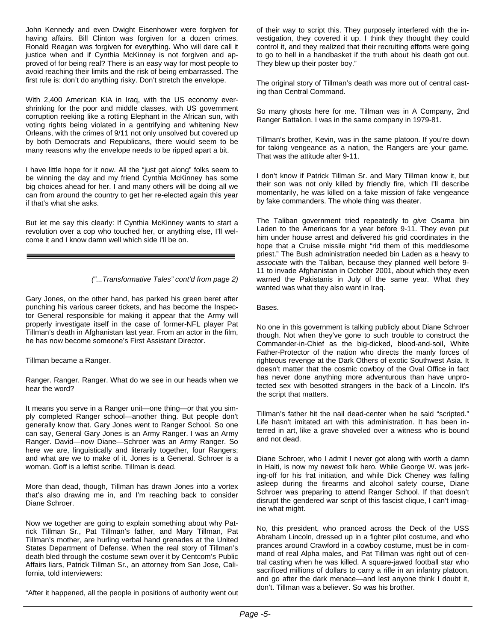John Kennedy and even Dwight Eisenhower were forgiven for having affairs. Bill Clinton was forgiven for a dozen crimes. Ronald Reagan was forgiven for everything. Who will dare call it justice when and if Cynthia McKinney is not forgiven and approved of for being real? There is an easy way for most people to avoid reaching their limits and the risk of being embarrassed. The first rule is: don't do anything risky. Don't stretch the envelope.

With 2,400 American KIA in Iraq, with the US economy evershrinking for the poor and middle classes, with US government corruption reeking like a rotting Elephant in the African sun, with voting rights being violated in a gentrifying and whitening New Orleans, with the crimes of 9/11 not only unsolved but covered up by both Democrats and Republicans, there would seem to be many reasons why the envelope needs to be ripped apart a bit.

I have little hope for it now. All the "just get along" folks seem to be winning the day and my friend Cynthia McKinney has some big choices ahead for her. I and many others will be doing all we can from around the country to get her re-elected again this year if that's what she asks.

But let me say this clearly: If Cynthia McKinney wants to start a revolution over a cop who touched her, or anything else, I'll welcome it and I know damn well which side I'll be on.

#### *("...Transformative Tales" cont'd from page 2)*

Gary Jones, on the other hand, has parked his green beret after punching his various career tickets, and has become the Inspector General responsible for making it appear that the Army will properly investigate itself in the case of former-NFL player Pat Tillman's death in Afghanistan last year. From an actor in the film, he has now become someone's First Assistant Director.

Tillman became a Ranger.

Ranger. Ranger. Ranger. What do we see in our heads when we hear the word?

It means you serve in a Ranger unit—one thing—or that you simply completed Ranger school—another thing. But people don't generally know that. Gary Jones went to Ranger School. So one can say, General Gary Jones is an Army Ranger. I was an Army Ranger. David—now Diane—Schroer was an Army Ranger. So here we are, linguistically and literarily together, four Rangers; and what are we to make of it. Jones is a General. Schroer is a woman. Goff is a leftist scribe. Tillman is dead.

More than dead, though, Tillman has drawn Jones into a vortex that's also drawing me in, and I'm reaching back to consider Diane Schroer.

Now we together are going to explain something about why Patrick Tillman Sr., Pat Tillman's father, and Mary Tillman, Pat Tillman's mother, are hurling verbal hand grenades at the United States Department of Defense. When the real story of Tillman's death bled through the costume sewn over it by Centcom's Public Affairs liars, Patrick Tillman Sr., an attorney from San Jose, California, told interviewers:

"After it happened, all the people in positions of authority went out

of their way to script this. They purposely interfered with the investigation, they covered it up. I think they thought they could control it, and they realized that their recruiting efforts were going to go to hell in a handbasket if the truth about his death got out. They blew up their poster boy."

The original story of Tillman's death was more out of central casting than Central Command.

So many ghosts here for me. Tillman was in A Company, 2nd Ranger Battalion. I was in the same company in 1979-81.

Tillman's brother, Kevin, was in the same platoon. If you're down for taking vengeance as a nation, the Rangers are your game. That was the attitude after 9-11.

I don't know if Patrick Tillman Sr. and Mary Tillman know it, but their son was not only killed by friendly fire, which I'll describe momentarily, he was killed on a fake mission of fake vengeance by fake commanders. The whole thing was theater.

The Taliban government tried repeatedly to *give* Osama bin Laden to the Americans for a year before 9-11. They even put him under house arrest and delivered his grid coordinates in the hope that a Cruise missile might "rid them of this meddlesome priest." The Bush administration needed bin Laden as a heavy to *associate* with the Taliban, because they planned well before 9- 11 to invade Afghanistan in October 2001, about which they even warned the Pakistanis in July of the same year. What they wanted was what they also want in Iraq.

#### Bases.

No one in this government is talking publicly about Diane Schroer though. Not when they've gone to such trouble to construct the Commander-in-Chief as the big-dicked, blood-and-soil, White Father-Protector of the nation who directs the manly forces of righteous revenge at the Dark Others of exotic Southwest Asia. It doesn't matter that the cosmic cowboy of the Oval Office in fact has never done anything more adventurous than have unprotected sex with besotted strangers in the back of a Lincoln. It's the script that matters.

Tillman's father hit the nail dead-center when he said "scripted." Life hasn't imitated art with this administration. It has been interred in art, like a grave shoveled over a witness who is bound and not dead.

Diane Schroer, who I admit I never got along with worth a damn in Haiti, is now my newest folk hero. While George W. was jerking-off for his frat initiation, and while Dick Cheney was falling asleep during the firearms and alcohol safety course, Diane Schroer was preparing to attend Ranger School. If that doesn't disrupt the gendered war script of this fascist clique, I can't imagine what might.

No, this president, who pranced across the Deck of the USS Abraham Lincoln, dressed up in a fighter pilot costume, and who prances around Crawford in a cowboy costume, must be in command of real Alpha males, and Pat Tillman was right out of central casting when he was killed. A square-jawed football star who sacrificed millions of dollars to carry a rifle in an infantry platoon, and go after the dark menace—and lest anyone think I doubt it, don't. Tillman was a believer. So was his brother.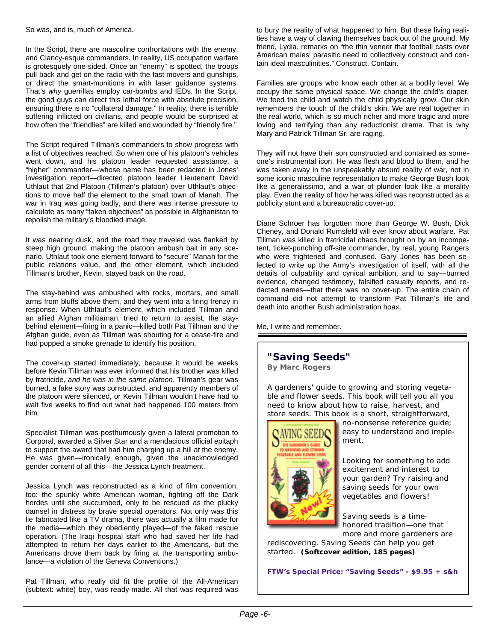In the Script, there are masculine confrontations with the enemy, and Clancy-esque commanders. In reality, US occupation warfare is grotesquely one-sided. Once an "enemy" is spotted, the troops pull back and get on the radio with the fast movers and gunships, or direct the smart-munitions in with laser guidance systems. That's *why* guerrillas employ car-bombs and IEDs. In the Script, the good guys can direct this lethal force with absolute precision, ensuring there is no "collateral damage." In reality, there is terrible suffering inflicted on civilians, and people would be surprised at how often the "friendlies" are killed and wounded by "friendly fire."

The Script required Tillman's commanders to show progress with a list of objectives reached. So when one of his platoon's vehicles went down, and his platoon leader requested assistance, a "higher" commander—whose name has been redacted in Jones' investigation report—directed platoon leader Lieutenant David Uthlaut that 2nd Platoon (Tillman's platoon) over Uthlaut's objections to move half the element to the small town of Manah. The war in Iraq was going badly, and there was intense pressure to calculate as many "taken objectives" as possible in Afghanistan to repolish the military's bloodied image.

It was nearing dusk, and the road they traveled was flanked by steep high ground, making the platoon ambush bait in any scenario. Uthlaut took one element forward to "secure" Manah for the public relations value, and the other element, which included Tillman's brother, Kevin, stayed back on the road.

The stay-behind was ambushed with rocks, mortars, and small arms from bluffs above them, and they went into a firing frenzy in response. When Uthlaut's element, which included Tillman and an allied Afghan militiaman, tried to return to assist, the staybehind element—firing in a panic—killed both Pat Tillman and the Afghan guide, even as Tillman was shouting for a cease-fire and had popped a smoke grenade to identify his position.

The cover-up started immediately, because it would be weeks before Kevin Tillman was ever informed that his brother was killed by fratricide, *and he was in the same platoon*. Tillman's gear was burned, a fake story was constructed, and apparently members of the platoon were silenced, or Kevin Tillman wouldn't have had to wait five weeks to find out what had happened 100 meters from him.

Specialist Tillman was posthumously given a lateral promotion to Corporal, awarded a Silver Star and a mendacious official epitaph to support the award that had him charging up a hill at the enemy. He was given—ironically enough, given the unacknowledged gender content of all this—the Jessica Lynch treatment.

Jessica Lynch was reconstructed as a kind of film convention, too: the spunky white American woman, fighting off the Dark hordes until she succumbed, only to be rescued as the plucky damsel in distress by brave special operators. Not only was this lie fabricated like a TV drama, there was actually a film made for the media—which they obediently played—of the faked rescue operation. (The Iraqi hospital staff who had saved her life had attempted to return her days earlier to the Americans, but the Americans drove them back by firing at the transporting ambulance—a violation of the Geneva Conventions.)

Pat Tillman, who really did fit the profile of the All-American (subtext: white) boy, was ready-made. All that was required was to bury the reality of what happened to him. But these living realities have a way of clawing themselves back out of the ground. My friend, Lydia, remarks on "the thin veneer that football casts over American males' parasitic need to collectively construct and contain ideal masculinities." Construct. Contain.

Families are groups who know each other at a bodily level. We occupy the same physical space. We change the child's diaper. We feed the child and watch the child physically grow. Our skin remembers the touch of the child's skin. We are real together in the real world, which is so much richer and more tragic and more loving and terrifying than any reductionist drama. That is why Mary and Patrick Tillman Sr. are raging.

They will not have their son constructed and contained as someone's instrumental icon. He was flesh and blood to them, and he was taken away in the unspeakably absurd reality of war, not in some iconic masculine representation to make George Bush look like a generalissimo, and a war of plunder look like a morality play. Even the reality of how he was killed was reconstructed as a publicity stunt and a bureaucratic cover-up.

Diane Schroer has forgotten more than George W. Bush, Dick Cheney, and Donald Rumsfeld will ever know about warfare. Pat Tillman was killed in fratricidal chaos brought on by an incompetent, ticket-punching off-site commander, by real, young Rangers who were frightened and confused. Gary Jones has been selected to write up the Army's investigation of itself, with all the details of culpability and cynical ambition, and to say—burned evidence, changed testimony, falsified casualty reports, and redacted names—that there was no cover-up. The entire chain of command did not attempt to transform Pat Tillman's life and death into another Bush administration hoax.

Me, I write and remember.

### **"Saving Seeds"**

**By Marc Rogers**

A gardeners' guide to growing and storing vegetable and flower seeds. This book will tell you all you need to know about how to raise, harvest, and store seeds. This book is a short, straightforward,



no-nonsense reference guide; easy to understand and implement.

Looking for something to add excitement and interest to your garden? Try raising and saving seeds for your own vegetables and flowers!

Saving seeds is a timehonored tradition—one that more and more gardeners are

rediscovering. *Saving Seeds* can help you get started. **(Softcover edition, 185 pages)** 

**FTW's Special Price: "***Saving Seeds"* **- \$9.95 + s&h**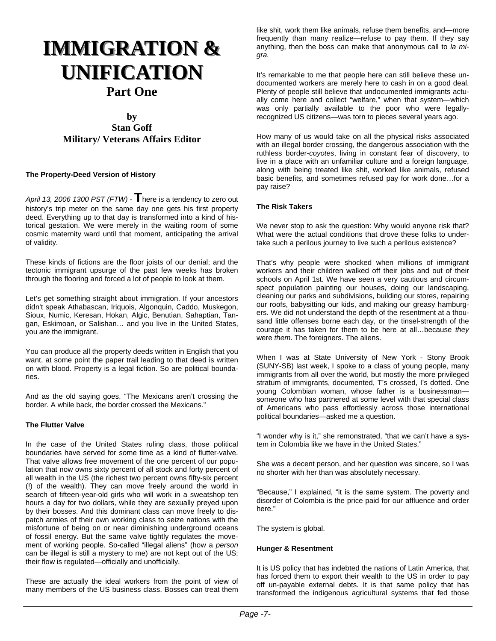## **IMMIGRATION & UNIFICATION UNIFICATION Part One**

### **by Stan Goff Military/ Veterans Affairs Editor**

#### **The Property-Deed Version of History**

*April 13, 2006 1300 PST (FTW)* - **T**here is a tendency to zero out history's trip meter on the same day one gets his first property deed. Everything up to that day is transformed into a kind of historical gestation. We were merely in the waiting room of some cosmic maternity ward until that moment, anticipating the arrival of validity.

These kinds of fictions are the floor joists of our denial; and the tectonic immigrant upsurge of the past few weeks has broken through the flooring and forced a lot of people to look at them.

Let's get something straight about immigration. If your ancestors didn't speak Athabascan, Iriquois, Algonquin, Caddo, Muskegon, Sioux, Numic, Keresan, Hokan, Algic, Benutian, Sahaptian, Tangan, Eskimoan, or Salishan… and you live in the United States, you *are* the immigrant.

You can produce all the property deeds written in English that you want, at some point the paper trail leading to that deed is written on with blood. Property is a legal fiction. So are political boundaries.

And as the old saying goes, "The Mexicans aren't crossing the border. A while back, the border crossed the Mexicans."

#### **The Flutter Valve**

In the case of the United States ruling class, those political boundaries have served for some time as a kind of flutter-valve. That valve allows free movement of the one percent of our population that now owns sixty percent of all stock and forty percent of all wealth in the US (the richest two percent owns fifty-six percent (!) of the wealth). They can move freely around the world in search of fifteen-year-old girls who will work in a sweatshop ten hours a day for two dollars, while they are sexually preyed upon by their bosses. And this dominant class can move freely to dispatch armies of their own working class to seize nations with the misfortune of being on or near diminishing underground oceans of fossil energy. But the same valve tightly regulates the movement of working people. So-called "illegal aliens" (how a *person* can be illegal is still a mystery to me) are not kept out of the US; their flow is regulated—officially and unofficially.

These are actually the ideal workers from the point of view of many members of the US business class. Bosses can treat them

like shit, work them like animals, refuse them benefits, and—more frequently than many realize—refuse to pay them. If they say anything, then the boss can make that anonymous call to *la migra.*

It's remarkable to me that people here can still believe these undocumented workers are merely here to cash in on a good deal. Plenty of people still believe that undocumented immigrants actually come here and collect "welfare," when that system—which was only partially available to the poor who were legallyrecognized US citizens—was torn to pieces several years ago.

How many of us would take on all the physical risks associated with an illegal border crossing, the dangerous association with the ruthless border-*coyotes*, living in constant fear of discovery, to live in a place with an unfamiliar culture and a foreign language, along with being treated like shit, worked like animals, refused basic benefits, and sometimes refused pay for work done…for a pay raise?

#### **The Risk Takers**

We never stop to ask the question: Why would anyone risk that? What were the actual conditions that drove these folks to undertake such a perilous journey to live such a perilous existence?

That's why people were shocked when millions of immigrant workers and their children walked off their jobs and out of their schools on April 1st. We have seen a very cautious and circumspect population painting our houses, doing our landscaping, cleaning our parks and subdivisions, building our stores, repairing our roofs, babysitting our kids, and making our greasy hamburgers. We did not understand the depth of the resentment at a thousand little offenses borne each day, or the tinsel-strength of the courage it has taken for them to be here at all…because *they* were *them*. The foreigners. The aliens.

When I was at State University of New York - Stony Brook (SUNY-SB) last week, I spoke to a class of young people, many immigrants from all over the world, but mostly the more privileged stratum of immigrants, documented, T's crossed, I's dotted. One young Colombian woman, whose father is a businessman someone who has partnered at some level with that special class of Americans who pass effortlessly across those international political boundaries—asked me a question.

"I wonder why is it," she remonstrated, "that we can't have a system in Colombia like we have in the United States."

She was a decent person, and her question was sincere, so I was no shorter with her than was absolutely necessary.

"Because," I explained, "it is the same system. The poverty and disorder of Colombia is the price paid for our affluence and order here."

The system is global.

#### **Hunger & Resentment**

It is US policy that has indebted the nations of Latin America, that has forced them to export their wealth to the US in order to pay off un-payable external debts. It is that same policy that has transformed the indigenous agricultural systems that fed those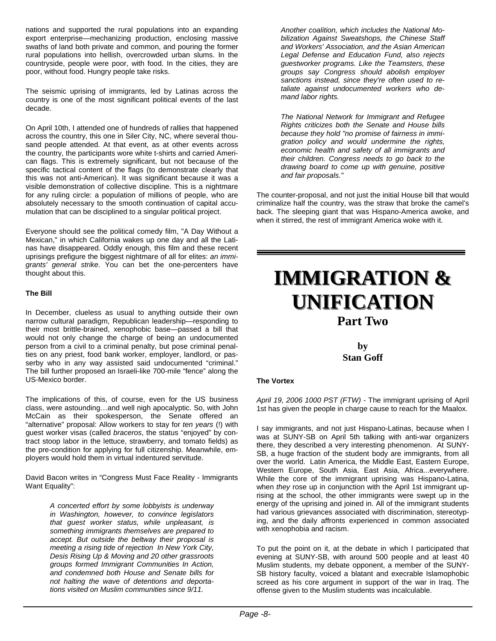nations and supported the rural populations into an expanding export enterprise—mechanizing production, enclosing massive swaths of land both private and common, and pouring the former rural populations into hellish, overcrowded urban slums. In the countryside, people were poor, with food. In the cities, they are poor, without food. Hungry people take risks.

The seismic uprising of immigrants, led by Latinas across the country is one of the most significant political events of the last decade.

On April 10th, I attended one of hundreds of rallies that happened across the country, this one in Siler City, NC, where several thousand people attended. At that event, as at other events across the country, the participants wore white t-shirts and carried American flags. This is extremely significant, but not because of the specific tactical content of the flags (to demonstrate clearly that this was not anti-American). It was significant because it was a visible demonstration of collective discipline. This is a nightmare for any ruling circle: a population of millions of people, who are absolutely necessary to the smooth continuation of capital accumulation that can be disciplined to a singular political project.

Everyone should see the political comedy film, "A Day Without a Mexican," in which California wakes up one day and all the Latinas have disappeared. Oddly enough, this film and these recent uprisings prefigure the biggest nightmare of all for elites: *an immigrants' general strike*. You can bet the one-percenters have thought about this.

#### **The Bill**

In December, clueless as usual to anything outside their own narrow cultural paradigm, Republican leadership—responding to their most brittle-brained, xenophobic base—passed a bill that would not only change the charge of being an undocumented person from a civil to a criminal penalty, but pose criminal penalties on any priest, food bank worker, employer, landlord, or passerby who in any way assisted said undocumented "criminal." The bill further proposed an Israeli-like 700-mile "fence" along the US-Mexico border.

The implications of this, of course, even for the US business class, were astounding…and well nigh apocalyptic. So, with John McCain as their spokesperson, the Senate offered an "alternative" proposal: Allow workers to stay for *ten years* (!) with guest worker visas (called *braceros*, the status "enjoyed" by contract stoop labor in the lettuce, strawberry, and tomato fields) as the pre-condition for applying for full citizenship. Meanwhile, employers would hold them in virtual indentured servitude.

David Bacon writes in "Congress Must Face Reality - Immigrants Want Equality":

> *A concerted effort by some lobbyists is underway in Washington, however, to convince legislators that guest worker status, while unpleasant, is something immigrants themselves are prepared to accept. But outside the beltway their proposal is meeting a rising tide of rejection In New York City, Desis Rising Up & Moving and 20 other grassroots groups formed Immigrant Communities In Action, and condemned both House and Senate bills for not halting the wave of detentions and deportations visited on Muslim communities since 9/11.*

*Another coalition, which includes the National Mobilization Against Sweatshops, the Chinese Staff and Workers' Association, and the Asian American Legal Defense and Education Fund, also rejects guestworker programs. Like the Teamsters, these groups say Congress should abolish employer sanctions instead, since they're often used to retaliate against undocumented workers who demand labor rights.*

*The National Network for Immigrant and Refugee Rights criticizes both the Senate and House bills because they hold "no promise of fairness in immigration policy and would undermine the rights, economic health and safety of all immigrants and their children. Congress needs to go back to the drawing board to come up with genuine, positive and fair proposals."*

The counter-proposal, and not just the initial House bill that would criminalize half the country, was the straw that broke the camel's back. The sleeping giant that was Hispano-America awoke, and when it stirred, the rest of immigrant America woke with it.

## **IMMIGRATION & UNIFICATION UNIFICATION Part Two**

**by Stan Goff** 

#### **The Vortex**

*April 19, 2006 1000 PST (FTW) -* The immigrant uprising of April 1st has given the people in charge cause to reach for the Maalox.

I say immigrants, and not just Hispano-Latinas, because when I was at SUNY-SB on April 5th talking with anti-war organizers there, they described a very interesting phenomenon. At SUNY-SB, a huge fraction of the student body are immigrants, from all over the world. Latin America, the Middle East, Eastern Europe, Western Europe, South Asia, East Asia, Africa...everywhere. While the core of the immigrant uprising was Hispano-Latina, when *they* rose up in conjunction with the April 1st immigrant uprising at the school, the other immigrants were swept up in the energy of the uprising and joined in. All of the immigrant students had various grievances associated with discrimination, stereotyping, and the daily affronts experienced in common associated with xenophobia and racism.

To put the point on it, at the debate in which I participated that evening at SUNY-SB, with around 500 people and at least 40 Muslim students, my debate opponent, a member of the SUNY-SB history faculty, voiced a blatant and execrable Islamophobic screed as his core argument in support of the war in Iraq. The offense given to the Muslim students was incalculable.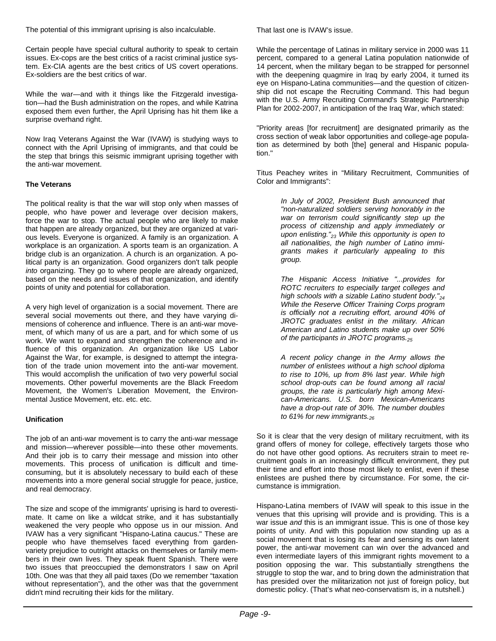The potential of this immigrant uprising is also incalculable.

Certain people have special cultural authority to speak to certain issues. Ex-cops are the best critics of a racist criminal justice system. Ex-CIA agents are the best critics of US covert operations. Ex-soldiers are the best critics of war.

While the war—and with it things like the Fitzgerald investigation—had the Bush administration on the ropes, and while Katrina exposed them even further, the April Uprising has hit them like a surprise overhand right.

Now Iraq Veterans Against the War (IVAW) is studying ways to connect with the April Uprising of immigrants, and that could be the step that brings this seismic immigrant uprising together with the anti-war movement.

#### **The Veterans**

The political reality is that the war will stop only when masses of people, who have power and leverage over decision makers, force the war to stop. The actual people who are likely to make that happen are already organized, but they are organized at various levels. Everyone is organized. A family is an organization. A workplace is an organization. A sports team is an organization. A bridge club is an organization. A church is an organization. A political party is an organization. Good organizers don't talk people *into* organizing. They go to where people are already organized, based on the needs and issues of that organization, and identify points of unity and potential for collaboration.

A very high level of organization is a social movement. There are several social movements out there, and they have varying dimensions of coherence and influence. There is an anti-war movement, of which many of us are a part, and for which some of us work. We want to expand and strengthen the coherence and influence of this organization. An organization like US Labor Against the War, for example, is designed to attempt the integration of the trade union movement into the anti-war movement. This would accomplish the unification of two very powerful social movements. Other powerful movements are the Black Freedom Movement, the Women's Liberation Movement, the Environmental Justice Movement, etc. etc. etc.

#### **Unification**

The job of an anti-war movement is to carry the anti-war message and mission—wherever possible—into these other movements. And their job is to carry their message and mission into other movements. This process of unification is difficult and timeconsuming, but it is absolutely necessary to build each of these movements into a more general social struggle for peace, justice, and real democracy.

The size and scope of the immigrants' uprising is hard to overestimate. It came on like a wildcat strike, and it has substantially weakened the very people who oppose us in our mission. And IVAW has a very significant "Hispano-Latina caucus." These are people who have themselves faced everything from gardenvariety prejudice to outright attacks on themselves or family members in their own lives. They speak fluent Spanish. There were two issues that preoccupied the demonstrators I saw on April 10th. One was that they all paid taxes (Do we remember "taxation without representation"), and the other was that the government didn't mind recruiting their kids for the military.

That last one is IVAW's issue.

While the percentage of Latinas in military service in 2000 was 11 percent, compared to a general Latina population nationwide of 14 percent, when the military began to be strapped for personnel with the deepening quagmire in Iraq by early 2004, it turned its eye on Hispano-Latina communities—and the question of citizenship did not escape the Recruiting Command. This had begun with the U.S. Army Recruiting Command's Strategic Partnership Plan for 2002-2007, in anticipation of the Iraq War, which stated:

"Priority areas [for recruitment] are designated primarily as the cross section of weak labor opportunities and college-age population as determined by both [the] general and Hispanic population."

Titus Peachey writes in "Military Recruitment, Communities of Color and Immigrants":

> *In July of 2002, President Bush announced that "non-naturalized soldiers serving honorably in the war on terrorism could significantly step up the process of citizenship and apply immediately or upon enlisting."23 While this opportunity is open to all nationalities, the high number of Latino immigrants makes it particularly appealing to this group.*

> *The Hispanic Access Initiative "...provides for ROTC recruiters to especially target colleges and high schools with a sizable Latino student body."24 While the Reserve Officer Training Corps program is officially not a recruiting effort, around 40% of JROTC graduates enlist in the military. African American and Latino students make up over 50% of the participants in JROTC programs.25*

> *A recent policy change in the Army allows the number of enlistees without a high school diploma to rise to 10%, up from 8% last year. While high school drop-outs can be found among all racial groups, the rate is particularly high among Mexican-Americans. U.S. born Mexican-Americans have a drop-out rate of 30%. The number doubles to 61% for new immigrants.26*

So it is clear that the very design of military recruitment, with its grand offers of money for college, effectively targets those who do not have other good options. As recruiters strain to meet recruitment goals in an increasingly difficult environment, they put their time and effort into those most likely to enlist, even if these enlistees are pushed there by circumstance. For some, the circumstance is immigration.

Hispano-Latina members of IVAW will speak to this issue in the venues that this uprising will provide and is providing. This is a war issue *and* this is an immigrant issue. This is one of those key points of unity. And with this population now standing up as a social movement that is losing its fear and sensing its own latent power, the anti-war movement can win over the advanced and even intermediate layers of this immigrant rights movement to a position opposing the war. This substantially strengthens the struggle to stop the war, and to bring down the administration that has presided over the militarization not just of foreign policy, but domestic policy. (That's what neo-conservatism is, in a nutshell.)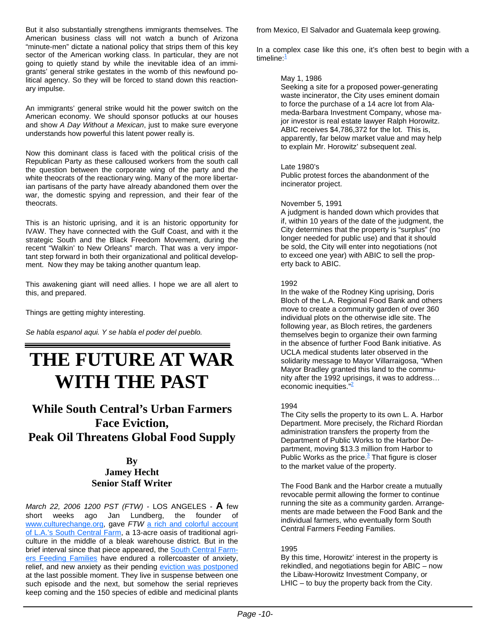But it also substantially strengthens immigrants themselves. The American business class will not watch a bunch of Arizona "minute-men" dictate a national policy that strips them of this key sector of the American working class. In particular, they are not going to quietly stand by while the inevitable idea of an immigrants' general strike gestates in the womb of this newfound political agency. So they will be forced to stand down this reactionary impulse.

An immigrants' general strike would hit the power switch on the American economy. We should sponsor potlucks at our houses and show *A Day Without a Mexican*, just to make sure everyone understands how powerful this latent power really is.

Now this dominant class is faced with the political crisis of the Republican Party as these calloused workers from the south call the question between the corporate wing of the party and the white theocrats of the reactionary wing. Many of the more libertarian partisans of the party have already abandoned them over the war, the domestic spying and repression, and their fear of the theocrats.

This is an historic uprising, and it is an historic opportunity for IVAW. They have connected with the Gulf Coast, and with it the strategic South and the Black Freedom Movement, during the recent "Walkin' to New Orleans" march. That was a very important step forward in both their organizational and political development. Now they may be taking another quantum leap.

This awakening giant will need allies. I hope we are all alert to this, and prepared.

Things are getting mighty interesting.

*Se habla espanol aqui. Y se habla el poder del pueblo.*

## **THE FUTURE AT WAR WITH THE PAST**

## **While South Central's Urban Farmers Face Eviction, Peak Oil Threatens Global Food Supply**

### **By Jamey Hecht Senior Staff Writer**

*March 22, 2006 1200 PST (FTW) -* LOS ANGELES - **A** few short weeks ago Jan Lundberg, the founder of www.culturechange.org, gave *FTW* a rich and colorful account of L.A.'s South Central Farm, a 13-acre oasis of traditional agriculture in the middle of a bleak warehouse district. But in the brief interval since that piece appeared, the South Central Farmers Feeding Families have endured a rollercoaster of anxiety, relief, and new anxiety as their pending eviction was postponed at the last possible moment. They live in suspense between one such episode and the next, but somehow the serial reprieves keep coming and the 150 species of edible and medicinal plants

from Mexico, El Salvador and Guatemala keep growing.

In a complex case like this one, it's often best to begin with a timeline:<sup>1</sup>

#### May 1, 1986

Seeking a site for a proposed power-generating waste incinerator, the City uses eminent domain to force the purchase of a 14 acre lot from Alameda-Barbara Investment Company, whose major investor is real estate lawyer Ralph Horowitz. ABIC receives \$4,786,372 for the lot. This is, apparently, far below market value and may help to explain Mr. Horowitz' subsequent zeal.

#### Late 1980's

Public protest forces the abandonment of the incinerator project.

#### November 5, 1991

A judgment is handed down which provides that if, within 10 years of the date of the judgment, the City determines that the property is "surplus" (no longer needed for public use) and that it should be sold, the City will enter into negotiations (not to exceed one year) with ABIC to sell the property back to ABIC.

#### 1992

In the wake of the Rodney King uprising, Doris Bloch of the L.A. Regional Food Bank and others move to create a community garden of over 360 individual plots on the otherwise idle site. The following year, as Bloch retires, the gardeners themselves begin to organize their own farming in the absence of further Food Bank initiative. As UCLA medical students later observed in the solidarity message to Mayor Villarraigosa, "When Mayor Bradley granted this land to the community after the 1992 uprisings, it was to address… economic inequities. $\frac{1}{2}$ 

#### 1994

The City sells the property to its own L. A. Harbor Department. More precisely, the Richard Riordan administration transfers the property from the Department of Public Works to the Harbor Department, moving \$13.3 million from Harbor to Public Works as the price.<sup>3</sup> That figure is closer to the market value of the property.

The Food Bank and the Harbor create a mutually revocable permit allowing the former to continue running the site as a community garden. Arrangements are made between the Food Bank and the individual farmers, who eventually form South Central Farmers Feeding Families.

#### 1995

By this time, Horowitz' interest in the property is rekindled, and negotiations begin for ABIC – now the Libaw-Horowitz Investment Company, or LHIC – to buy the property back from the City.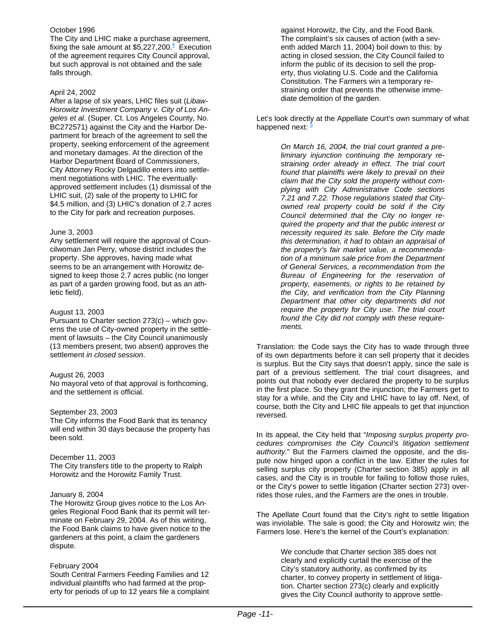#### October 1996

The City and LHIC make a purchase agreement, fixing the sale amount at  $$5,227,200.<sup>4</sup>$  Execution of the agreement requires City Council approval, but such approval is not obtained and the sale falls through.

#### April 24, 2002

After a lapse of six years, LHIC files suit (*Libaw-Horowitz Investment Company v. City of Los Angeles et al*. (Super. Ct. Los Angeles County, No. BC272571) against the City and the Harbor Department for breach of the agreement to sell the property, seeking enforcement of the agreement and monetary damages. At the direction of the Harbor Department Board of Commissioners, City Attorney Rocky Delgadillo enters into settlement negotiations with LHIC. The eventuallyapproved settlement includes (1) dismissal of the LHIC suit, (2) sale of the property to LHIC for \$4.5 million, and (3) LHIC's donation of 2.7 acres to the City for park and recreation purposes.

#### June 3, 2003

Any settlement will require the approval of Councilwoman Jan Perry, whose district includes the property. She approves, having made what seems to be an arrangement with Horowitz designed to keep those 2.7 acres public (no longer as part of a garden growing food, but as an athletic field).

#### August 13, 2003

Pursuant to Charter section 273(c) – which governs the use of City-owned property in the settlement of lawsuits – the City Council unanimously (13 members present, two absent) approves the settlement *in closed session*.

#### August 26, 2003

No mayoral veto of that approval is forthcoming, and the settlement is official.

#### September 23, 2003

The City informs the Food Bank that its tenancy will end within 30 days because the property has been sold.

#### December 11, 2003

The City transfers title to the property to Ralph Horowitz and the Horowitz Family Trust.

#### January 8, 2004

The Horowitz Group gives notice to the Los Angeles Regional Food Bank that its permit will terminate on February 29, 2004. As of this writing, the Food Bank claims to have given notice to the gardeners at this point, a claim the gardeners dispute.

#### February 2004

South Central Farmers Feeding Families and 12 individual plaintiffs who had farmed at the property for periods of up to 12 years file a complaint against Horowitz, the City, and the Food Bank. The complaint's six causes of action (with a seventh added March 11, 2004) boil down to this: by acting in closed session, the City Council failed to inform the public of its decision to sell the property, thus violating U.S. Code and the California Constitution. The Farmers win a temporary restraining order that prevents the otherwise immediate demolition of the garden.

Let's look directly at the Appellate Court's own summary of what happened next:  $\frac{5}{2}$ 

> *On March 16, 2004, the trial court granted a preliminary injunction continuing the temporary restraining order already in effect. The trial court found that plaintiffs were likely to prevail on their claim that the City sold the property without complying with City Administrative Code sections 7.21 and 7.22. Those regulations stated that Cityowned real property could be sold if the City Council determined that the City no longer required the property and that the public interest or necessity required its sale. Before the City made this determination, it had to obtain an appraisal of the property's fair market value, a recommendation of a minimum sale price from the Department of General Services, a recommendation from the Bureau of Engineering for the reservation of property, easements, or rights to be retained by the City, and verification from the City Planning Department that other city departments did not require the property for City use. The trial court found the City did not comply with these requirements.*

Translation: the Code says the City has to wade through three of its own departments before it can sell property that it decides is surplus. But the City says that doesn't apply, since the sale is part of a previous settlement. The trial court disagrees, and points out that nobody ever declared the property to be surplus in the first place. So they grant the injunction; the Farmers get to stay for a while, and the City and LHIC have to lay off. Next, of course, both the City and LHIC file appeals to get that injunction reversed.

In its appeal, the City held that "*Imposing surplus property procedures compromises the City Council's litigation settlement authority.*" But the Farmers claimed the opposite, and the dispute now hinged upon a conflict in the law. Either the rules for selling surplus city property (Charter section 385) apply in all cases, and the City is in trouble for failing to follow those rules, or the City's power to settle litigation (Charter section 273) overrides those rules, and the Farmers are the ones in trouble.

The Apellate Court found that the City's right to settle litigation was inviolable. The sale is good; the City and Horowitz win; the Farmers lose. Here's the kernel of the Court's explanation:

> We conclude that Charter section 385 does not clearly and explicitly curtail the exercise of the City's statutory authority, as confirmed by its charter, to convey property in settlement of litigation. Charter section 273(c) clearly and explicitly gives the City Council authority to approve settle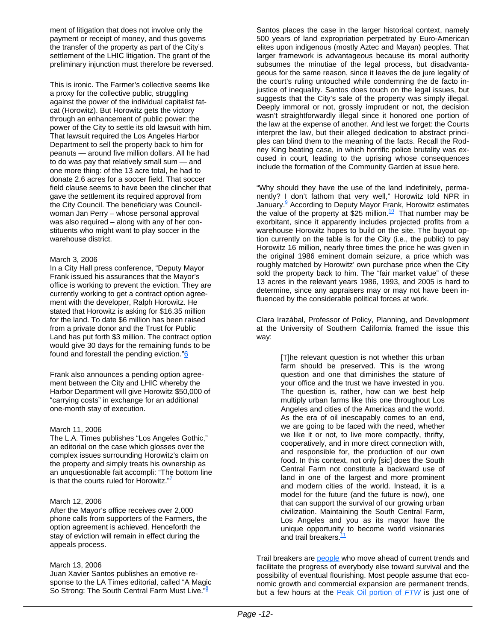ment of litigation that does not involve only the payment or receipt of money, and thus governs the transfer of the property as part of the City's settlement of the LHIC litigation. The grant of the preliminary injunction must therefore be reversed.

This is ironic. The Farmer's collective seems like a proxy for the collective public, struggling against the power of the individual capitalist fatcat (Horowitz). But Horowitz gets the victory through an enhancement of public power: the power of the City to settle its old lawsuit with him. That lawsuit required the Los Angeles Harbor Department to sell the property back to him for peanuts — around five million dollars. All he had to do was pay that relatively small sum — and one more thing: of the 13 acre total, he had to donate 2.6 acres for a soccer field. That soccer field clause seems to have been the clincher that gave the settlement its required approval from the City Council. The beneficiary was Councilwoman Jan Perry – whose personal approval was also required – along with any of her constituents who might want to play soccer in the warehouse district.

#### March 3, 2006

In a City Hall press conference, "Deputy Mayor Frank issued his assurances that the Mayor's office is working to prevent the eviction. They are currently working to get a contract option agreement with the developer, Ralph Horowitz. He stated that Horowitz is asking for \$16.35 million for the land. To date \$6 million has been raised from a private donor and the Trust for Public Land has put forth \$3 million. The contract option would give 30 days for the remaining funds to be found and forestall the pending eviction."6

Frank also announces a pending option agreement between the City and LHIC whereby the Harbor Department will give Horowitz \$50,000 of "carrying costs" in exchange for an additional one-month stay of execution.

#### March 11, 2006

The L.A. Times publishes "Los Angeles Gothic," an editorial on the case which glosses over the complex issues surrounding Horowitz's claim on the property and simply treats his ownership as an unquestionable fait accompli: "The bottom line is that the courts ruled for Horowitz."<sup> $7$ </sup>

#### March 12, 2006

After the Mayor's office receives over 2,000 phone calls from supporters of the Farmers, the option agreement is achieved. Henceforth the stay of eviction will remain in effect during the appeals process.

#### March 13, 2006

Juan Xavier Santos publishes an emotive response to the LA Times editorial, called "A Magic So Strong: The South Central Farm Must Live."<sup>8</sup>

Santos places the case in the larger historical context, namely 500 years of land expropriation perpetrated by Euro-American elites upon indigenous (mostly Aztec and Mayan) peoples. That larger framework is advantageous because its moral authority subsumes the minutiae of the legal process, but disadvantageous for the same reason, since it leaves the de jure legality of the court's ruling untouched while condemning the de facto injustice of inequality. Santos does touch on the legal issues, but suggests that the City's sale of the property was simply illegal. Deeply immoral or not, grossly imprudent or not, the decision wasn't straightforwardly illegal since it honored one portion of the law at the expense of another. And lest we forget: the Courts interpret the law, but their alleged dedication to abstract principles can blind them to the meaning of the facts. Recall the Rodney King beating case, in which horrific police brutality was excused in court, leading to the uprising whose consequences include the formation of the Community Garden at issue here.

"Why should they have the use of the land indefinitely, permanently? I don't fathom that very well," Horowitz told NPR in January.<sup>9</sup> According to Deputy Mayor Frank, Horowitz estimates the value of the property at \$25 million.<sup>10</sup> That number may be exorbitant, since it apparently includes projected profits from a warehouse Horowitz hopes to build on the site. The buyout option currently on the table is for the City (i.e., the public) to pay Horowitz 16 million, nearly three times the price he was given in the original 1986 eminent domain seizure, a price which was roughly matched by Horowitz' own purchase price when the City sold the property back to him. The "fair market value" of these 13 acres in the relevant years 1986, 1993, and 2005 is hard to determine, since any appraisers may or may not have been influenced by the considerable political forces at work.

Clara Irazábal, Professor of Policy, Planning, and Development at the University of Southern California framed the issue this way:

> [T]he relevant question is not whether this urban farm should be preserved. This is the wrong question and one that diminishes the stature of your office and the trust we have invested in you. The question is, rather, how can we best help multiply urban farms like this one throughout Los Angeles and cities of the Americas and the world. As the era of oil inescapably comes to an end, we are going to be faced with the need, whether we like it or not, to live more compactly, thrifty, cooperatively, and in more direct connection with, and responsible for, the production of our own food. In this context, not only [sic] does the South Central Farm not constitute a backward use of land in one of the largest and more prominent and modern cities of the world. Instead, it is a model for the future (and the future is now), one that can support the survival of our growing urban civilization. Maintaining the South Central Farm, Los Angeles and you as its mayor have the unique opportunity to become world visionaries and trail breakers.<sup>11</sup>

Trail breakers are people who move ahead of current trends and facilitate the progress of everybody else toward survival and the possibility of eventual flourishing. Most people assume that economic growth and commercial expansion are permanent trends, but a few hours at the Peak Oil portion of *FTW* is just one of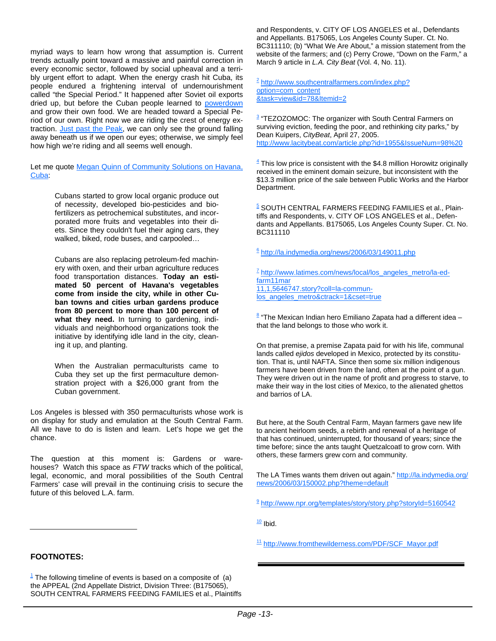myriad ways to learn how wrong that assumption is. Current trends actually point toward a massive and painful correction in every economic sector, followed by social upheaval and a terribly urgent effort to adapt. When the energy crash hit Cuba, its people endured a frightening interval of undernourishment called "the Special Period." It happened after Soviet oil exports dried up, but before the Cuban people learned to powerdown and grow their own food. We are headed toward a Special Period of our own. Right now we are riding the crest of energy extraction. Just past the Peak, we can only see the ground falling away beneath us if we open our eyes; otherwise, we simply feel how high we're riding and all seems well enough.

Let me quote Megan Quinn of Community Solutions on Havana, Cuba:

> Cubans started to grow local organic produce out of necessity, developed bio-pesticides and biofertilizers as petrochemical substitutes, and incorporated more fruits and vegetables into their diets. Since they couldn't fuel their aging cars, they walked, biked, rode buses, and carpooled…

> Cubans are also replacing petroleum-fed machinery with oxen, and their urban agriculture reduces food transportation distances. **Today an estimated 50 percent of Havana's vegetables come from inside the city, while in other Cuban towns and cities urban gardens produce from 80 percent to more than 100 percent of what they need.** In turning to gardening, individuals and neighborhood organizations took the initiative by identifying idle land in the city, cleaning it up, and planting.

> When the Australian permaculturists came to Cuba they set up the first permaculture demonstration project with a \$26,000 grant from the Cuban government.

Los Angeles is blessed with 350 permaculturists whose work is on display for study and emulation at the South Central Farm. All we have to do is listen and learn. Let's hope we get the chance.

The question at this moment is: Gardens or warehouses? Watch this space as *FTW* tracks which of the political, legal, economic, and moral possibilities of the South Central Farmers' case will prevail in the continuing crisis to secure the future of this beloved L.A. farm.

and Respondents, v. CITY OF LOS ANGELES et al., Defendants and Appellants. B175065, Los Angeles County Super. Ct. No. BC311110; (b) "What We Are About," a mission statement from the website of the farmers; and (c) Perry Crowe, "Down on the Farm," a March 9 article in *L.A. City Beat* (Vol. 4, No. 11).

<sup>2</sup> http://www.southcentralfarmers.com/index.php? option=com\_content &task=view&id=78&Itemid=2

<sup>3</sup> "TEZOZOMOC: The organizer with South Central Farmers on surviving eviction, feeding the poor, and rethinking city parks," by Dean Kuipers, *CityBeat*, April 27, 2005. http://www.lacitybeat.com/article.php?id=1955&IssueNum=98%20

 $\frac{4}{3}$  This low price is consistent with the \$4.8 million Horowitz originally received in the eminent domain seizure, but inconsistent with the \$13.3 million price of the sale between Public Works and the Harbor Department.

<sup>5</sup> SOUTH CENTRAL FARMERS FEEDING FAMILIES et al., Plaintiffs and Respondents, v. CITY OF LOS ANGELES et al., Defendants and Appellants. B175065, Los Angeles County Super. Ct. No. BC311110

 $6$  http://la.indymedia.org/news/2006/03/149011.php

 $7$  http://www.latimes.com/news/local/los\_angeles\_metro/la-edfarm11mar 11,1,5646747.story?coll=la-communlos angeles metro&ctrack=1&cset=true

<sup>8</sup> "The Mexican Indian hero Emiliano Zapata had a different idea that the land belongs to those who work it.

On that premise, a premise Zapata paid for with his life, communal lands called *ejidos* developed in Mexico, protected by its constitution. That is, until NAFTA. Since then some six million indigenous farmers have been driven from the land, often at the point of a gun. They were driven out in the name of profit and progress to starve, to make their way in the lost cities of Mexico, to the alienated ghettos and barrios of LA.

But here, at the South Central Farm, Mayan farmers gave new life to ancient heirloom seeds, a rebirth and renewal of a heritage of that has continued, uninterrupted, for thousand of years; since the time before; since the ants taught Quetzalcoatl to grow corn. With others, these farmers grew corn and community.

The LA Times wants them driven out again." http://la.indymedia.org/ news/2006/03/150002.php?theme=default

9 http://www.npr.org/templates/story/story.php?storyId=5160542

 $10$  Ibid.

<sup>11</sup> http://www.fromthewilderness.com/PDF/SCF\_Mayor.pdf

#### **FOOTNOTES:**

 $1$  The following timeline of events is based on a composite of (a) the APPEAL (2nd Appellate District, Division Three: (B175065), SOUTH CENTRAL FARMERS FEEDING FAMILIES et al., Plaintiffs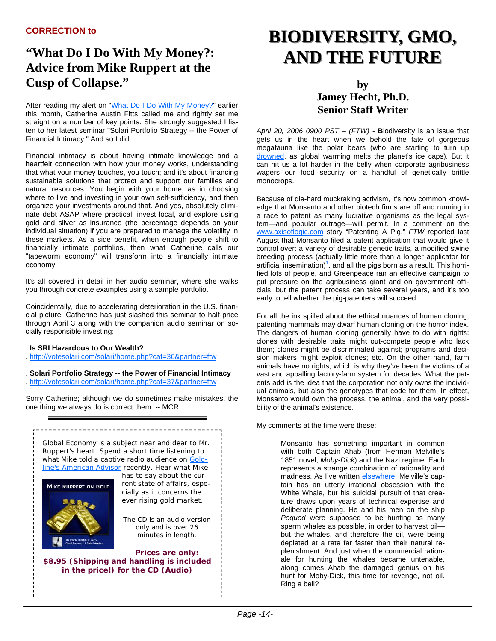## **"What Do I Do With My Money?: Advice from Mike Ruppert at the Cusp of Collapse."**

After reading my alert on "What Do I Do With My Money?" earlier this month, Catherine Austin Fitts called me and rightly set me straight on a number of key points. She strongly suggested I listen to her latest seminar "Solari Portfolio Strategy -- the Power of Financial Intimacy." And so I did.

Financial intimacy is about having intimate knowledge and a heartfelt connection with how your money works, understanding that what your money touches, you touch; and it's about financing sustainable solutions that protect and support our families and natural resources. You begin with your home, as in choosing where to live and investing in your own self-sufficiency, and then organize your investments around that. And yes, absolutely eliminate debt ASAP where practical, invest local, and explore using gold and silver as insurance (the percentage depends on your individual situation) if you are prepared to manage the volatility in these markets. As a side benefit, when enough people shift to financially intimate portfolios, then what Catherine calls our "tapeworm economy" will transform into a financially intimate economy.

It's all covered in detail in her audio seminar, where she walks you through concrete examples using a sample portfolio.

Coincidentally, due to accelerating deterioration in the U.S. financial picture, Catherine has just slashed this seminar to half price through April 3 along with the companion audio seminar on socially responsible investing:

- . **Is SRI Hazardous to Our Wealth?**
- . http://votesolari.com/solari/home.php?cat=36&partner=ftw
- . **Solari Portfolio Strategy -- the Power of Financial Intimacy** . http://votesolari.com/solari/home.php?cat=37&partner=ftw

Sorry Catherine; although we do sometimes make mistakes, the one thing we always do is correct them. -- MCR



## **BIODIVERSITY, GMO, BIODIVERSITY, GMO, AND THE FUTURE AND THE FUTURE**

### **by Jamey Hecht, Ph.D. Senior Staff Writer**

*April 20, 2006 0900 PST – (FTW) -* **B**iodiversity is an issue that gets us in the heart when we behold the fate of gorgeous megafauna like the polar bears (who are starting to turn up drowned, as global warming melts the planet's ice caps). But it can hit us a lot harder in the belly when corporate agribusiness wagers our food security on a handful of genetically brittle monocrops.

Because of die-hard muckraking activism, it's now common knowledge that Monsanto and other biotech firms are off and running in a race to patent as many lucrative organisms as the legal system—and popular outrage—will permit. In a comment on the www.axisoflogic.com story "Patenting A Pig," *FTW* reported last August that Monsanto filed a patent application that would give it control over: a variety of desirable genetic traits, a modified swine breeding process (actually little more than a longer applicator for artificial insemination) $\frac{1}{2}$ , and all the pigs born as a result. This horrified lots of people, and Greenpeace ran an effective campaign to put pressure on the agribusiness giant and on government officials; but the patent process can take several years, and it's too early to tell whether the pig-patenters will succeed.

For all the ink spilled about the ethical nuances of human cloning, patenting mammals may dwarf human cloning on the horror index. The dangers of human cloning generally have to do with rights: clones with desirable traits might out-compete people who lack them; clones might be discriminated against; programs and decision makers might exploit clones; etc. On the other hand, farm animals have no rights, which is why they've been the victims of a vast and appalling factory-farm system for decades. What the patents add is the idea that the corporation not only owns the individual animals, but also the genotypes that code for them. In effect, Monsanto would own the process, the animal, and the very possibility of the animal's existence.

My comments at the time were these:

Monsanto has something important in common with both Captain Ahab (from Herman Melville's 1851 novel, *Moby-Dick*) and the Nazi regime. Each represents a strange combination of rationality and madness. As I've written elsewhere, Melville's captain has an utterly irrational obsession with the White Whale, but his suicidal pursuit of that creature draws upon years of technical expertise and deliberate planning. He and his men on the ship *Pequod* were supposed to be hunting as many sperm whales as possible, in order to harvest oil but the whales, and therefore the oil, were being depleted at a rate far faster than their natural replenishment. And just when the commercial rationale for hunting the whales became untenable, along comes Ahab the damaged genius on his hunt for Moby-Dick, this time for revenge, not oil. Ring a bell?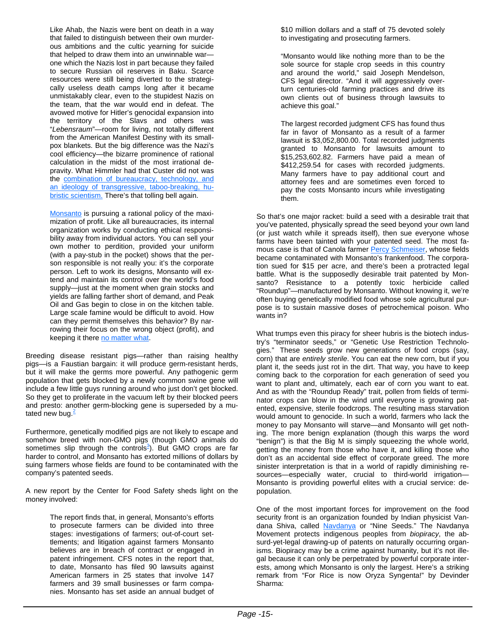Like Ahab, the Nazis were bent on death in a way that failed to distinguish between their own murderous ambitions and the cultic yearning for suicide that helped to draw them into an unwinnable war one which the Nazis lost in part because they failed to secure Russian oil reserves in Baku. Scarce resources were still being diverted to the strategically useless death camps long after it became unmistakably clear, even to the stupidest Nazis on the team, that the war would end in defeat. The avowed motive for Hitler's genocidal expansion into the territory of the Slavs and others was "*Lebensraum*"—room for living, not totally different from the American Manifest Destiny with its smallpox blankets. But the big difference was the Nazi's cool efficiency—the bizarre prominence of rational calculation in the midst of the most irrational depravity. What Himmler had that Custer did not was the combination of bureaucracy, technology, and an ideology of transgressive, taboo-breaking, hubristic scientism. There's that tolling bell again.

Monsanto is pursuing a rational policy of the maximization of profit. Like all bureaucracies, its internal organization works by conducting ethical responsibility away from individual actors. You can sell your own mother to perdition, provided your uniform (with a pay-stub in the pocket) shows that the person responsible is not really you: it's the corporate person. Left to work its designs, Monsanto will extend and maintain its control over the world's food supply—just at the moment when grain stocks and yields are falling farther short of demand, and Peak Oil and Gas begin to close in on the kitchen table. Large scale famine would be difficult to avoid. How can they permit themselves this behavior? By narrowing their focus on the wrong object (profit), and keeping it there no matter what.

Breeding disease resistant pigs—rather than raising healthy pigs—is a Faustian bargain: it will produce germ-resistant herds, but it will make the germs more powerful. Any pathogenic germ population that gets blocked by a newly common swine gene will include a few little guys running around who just don't get blocked. So they get to proliferate in the vacuum left by their blocked peers and presto: another germ-blocking gene is superseded by a mutated new bug. $^{2}$ 

Furthermore, genetically modified pigs are not likely to escape and somehow breed with non-GMO pigs (though GMO animals do sometimes slip through the controls<sup>3</sup>). But GMO crops are far harder to control, and Monsanto has extorted millions of dollars by suing farmers whose fields are found to be contaminated with the company's patented seeds.

A new report by the Center for Food Safety sheds light on the money involved:

> The report finds that, in general, Monsanto's efforts to prosecute farmers can be divided into three stages: investigations of farmers; out-of-court settlements; and litigation against farmers Monsanto believes are in breach of contract or engaged in patent infringement. CFS notes in the report that, to date, Monsanto has filed 90 lawsuits against American farmers in 25 states that involve 147 farmers and 39 small businesses or farm companies. Monsanto has set aside an annual budget of

\$10 million dollars and a staff of 75 devoted solely to investigating and prosecuting farmers.

"Monsanto would like nothing more than to be the sole source for staple crop seeds in this country and around the world," said Joseph Mendelson, CFS legal director. "And it will aggressively overturn centuries-old farming practices and drive its own clients out of business through lawsuits to achieve this goal."

The largest recorded judgment CFS has found thus far in favor of Monsanto as a result of a farmer lawsuit is \$3,052,800.00. Total recorded judgments granted to Monsanto for lawsuits amount to \$15,253,602.82. Farmers have paid a mean of \$412,259.54 for cases with recorded judgments. Many farmers have to pay additional court and attorney fees and are sometimes even forced to pay the costs Monsanto incurs while investigating them.

So that's one major racket: build a seed with a desirable trait that you've patented, physically spread the seed beyond your own land (or just watch while it spreads itself), then sue everyone whose farms have been tainted with your patented seed. The most famous case is that of Canola farmer Percy Schmeiser, whose fields became contaminated with Monsanto's frankenfood. The corporation sued for \$15 per acre, and there's been a protracted legal battle. What is the supposedly desirable trait patented by Monsanto? Resistance to a potently toxic herbicide called "Roundup"—manufactured by Monsanto. Without knowing it, we're often buying genetically modified food whose sole agricultural purpose is to sustain massive doses of petrochemical poison. Who wants in?

What trumps even this piracy for sheer hubris is the biotech industry's "terminator seeds," or "Genetic Use Restriction Technologies." These seeds grow new generations of food crops (say, corn) that are *entirely sterile*. You can eat the new corn, but if you plant it, the seeds just rot in the dirt. That way, you have to keep coming back to the corporation for each generation of seed you want to plant and, ultimately, each ear of corn you want to eat. And as with the "Roundup Ready" trait, pollen from fields of terminator crops can blow in the wind until everyone is growing patented, expensive, sterile foodcrops. The resulting mass starvation would amount to genocide. In such a world, farmers who lack the money to pay Monsanto will starve—and Monsanto will get nothing. The more benign explanation (though this warps the word "benign") is that the Big M is simply squeezing the whole world, getting the money from those who have it, and killing those who don't as an accidental side effect of corporate greed. The more sinister interpretation is that in a world of rapidly diminishing resources—especially water, crucial to third-world irrigation— Monsanto is providing powerful elites with a crucial service: depopulation.

One of the most important forces for improvement on the food security front is an organization founded by Indian physicist Vandana Shiva, called Navdanya or "Nine Seeds." The Navdanya Movement protects indigenous peoples from *biopiracy*, the absurd-yet-legal drawing-up of patents on naturally occurring organisms. Biopiracy may be a crime against humanity, but it's not illegal because it can only be perpetrated by powerful corporate interests, among which Monsanto is only the largest. Here's a striking remark from "For Rice is now Oryza Syngenta!" by Devinder Sharma: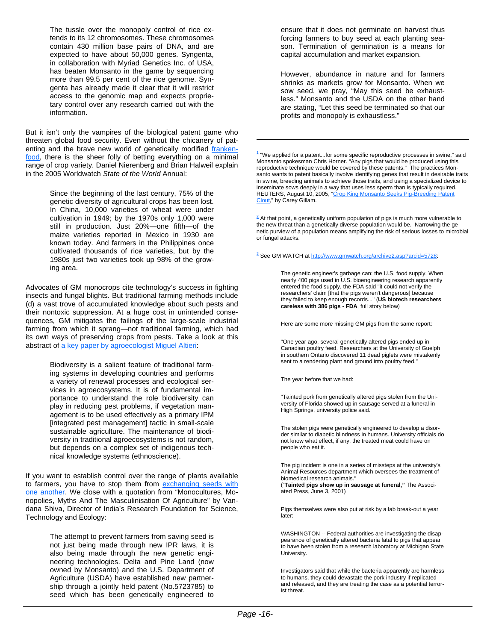The tussle over the monopoly control of rice extends to its 12 chromosomes. These chromosomes contain 430 million base pairs of DNA, and are expected to have about 50,000 genes. Syngenta, in collaboration with Myriad Genetics Inc. of USA, has beaten Monsanto in the game by sequencing more than 99.5 per cent of the rice genome. Syngenta has already made it clear that it will restrict access to the genomic map and expects proprietary control over any research carried out with the information.

But it isn't only the vampires of the biological patent game who threaten global food security. Even without the chicanery of patenting and the brave new world of genetically modified frankenfood, there is the sheer folly of betting everything on a minimal range of crop variety. Daniel Nierenberg and Brian Halweil explain in the 2005 Worldwatch *State of the World* Annual:

> Since the beginning of the last century, 75% of the genetic diversity of agricultural crops has been lost. In China, 10,000 varieties of wheat were under cultivation in 1949; by the 1970s only 1,000 were still in production. Just 20%—one fifth—of the maize varieties reported in Mexico in 1930 are known today. And farmers in the Philippines once cultivated thousands of rice varieties, but by the 1980s just two varieties took up 98% of the growing area.

Advocates of GM monocrops cite technology's success in fighting insects and fungal blights. But traditional farming methods include (d) a vast trove of accumulated knowledge about such pests and their nontoxic suppression. At a huge cost in unintended consequences, GM mitigates the failings of the large-scale industrial farming from which it sprang—not traditional farming, which had its own ways of preserving crops from pests. Take a look at this abstract of a key paper by agroecologist Miguel Altieri:

> Biodiversity is a salient feature of traditional farming systems in developing countries and performs a variety of renewal processes and ecological services in agroecosystems. It is of fundamental importance to understand the role biodiversity can play in reducing pest problems, if vegetation management is to be used effectively as a primary IPM [integrated pest management] tactic in small-scale sustainable agriculture. The maintenance of biodiversity in traditional agroecosystems is not random, but depends on a complex set of indigenous technical knowledge systems (ethnoscience).

If you want to establish control over the range of plants available to farmers, you have to stop them from exchanging seeds with one another. We close with a quotation from "Monocultures, Monopolies, Myths And The Masculinisation Of Agriculture" by Vandana Shiva, Director of India's Research Foundation for Science, Technology and Ecology:

> The attempt to prevent farmers from saving seed is not just being made through new IPR laws, it is also being made through the new genetic engineering technologies. Delta and Pine Land (now owned by Monsanto) and the U.S. Department of Agriculture (USDA) have established new partnership through a jointly held patent (No.5723785) to seed which has been genetically engineered to

ensure that it does not germinate on harvest thus forcing farmers to buy seed at each planting season. Termination of germination is a means for capital accumulation and market expansion.

However, abundance in nature and for farmers shrinks as markets grow for Monsanto. When we sow seed, we pray, "May this seed be exhaustless." Monsanto and the USDA on the other hand are stating, "Let this seed be terminated so that our profits and monopoly is exhaustless."

 $1$  "We applied for a patent...for some specific reproductive processes in swine," said Monsanto spokesman Chris Horner. "Any pigs that would be produced using this reproductive technique would be covered by these patents." The practices Monsanto wants to patent basically involve identifying genes that result in desirable traits in swine, breeding animals to achieve those traits, and using a specialized device to inseminate sows deeply in a way that uses less sperm than is typically required. REUTERS, August 10, 2005, "Crop King Monsanto Seeks Pig-Breeding Patent Clout," by Carey Gillam.

 $2$  At that point, a genetically uniform population of pigs is much more vulnerable to the new threat than a genetically diverse population would be. Narrowing the genetic purview of a population means amplifying the risk of serious losses to microbial or fungal attacks.

<sup>3</sup> See GM WATCH at http://www.gmwatch.org/archive2.asp?arcid=5728:

The genetic engineer's garbage can: the U.S. food supply. When nearly 400 pigs used in U.S. bioengineering research apparently entered the food supply, the FDA said "it could not verify the researchers' claim [that the pigs weren't dangerous] because they failed to keep enough records..." (**US biotech researchers careless with 386 pigs - FDA**, full story below)

Here are some more missing GM pigs from the same report:

"One year ago, several genetically altered pigs ended up in Canadian poultry feed. Researchers at the University of Guelph in southern Ontario discovered 11 dead piglets were mistakenly sent to a rendering plant and ground into poultry feed."

The year before that we had:

"Tainted pork from genetically altered pigs stolen from the University of Florida showed up in sausage served at a funeral in High Springs, university police said.

The stolen pigs were genetically engineered to develop a disorder similar to diabetic blindness in humans. University officials do not know what effect, if any, the treated meat could have on people who eat it.

The pig incident is one in a series of missteps at the university's Animal Resources department which oversees the treatment of biomedical research animals."

("**Tainted pigs show up in sausage at funeral,"** The Associated Press, June 3, 2001)

Pigs themselves were also put at risk by a lab break-out a year later:

WASHINGTON -- Federal authorities are investigating the disappearance of genetically altered bacteria fatal to pigs that appear to have been stolen from a research laboratory at Michigan State University.

Investigators said that while the bacteria apparently are harmless to humans, they could devastate the pork industry if replicated and released, and they are treating the case as a potential terrorist threat.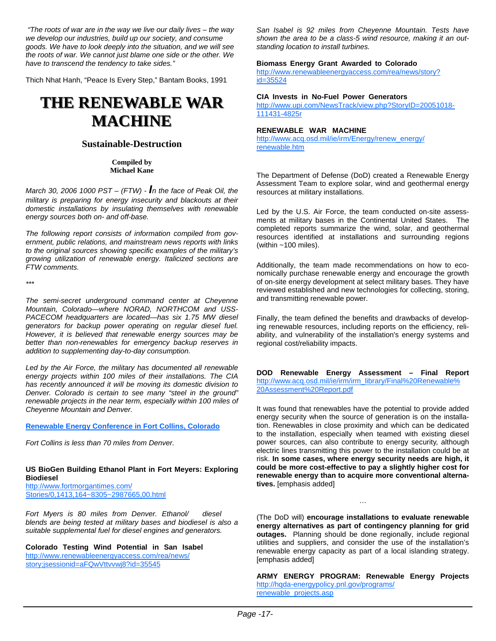*"The roots of war are in the way we live our daily lives – the way we develop our industries, build up our society, and consume goods. We have to look deeply into the situation, and we will see the roots of war. We cannot just blame one side or the other. We have to transcend the tendency to take sides."*

Thich Nhat Hanh, "Peace Is Every Step," Bantam Books, 1991

## **THE RENEWABLE WAR THE RENEWABLE WAR MACHINE MACHINE**

#### **Sustainable-Destruction**

**Compiled by Michael Kane** 

*March 30, 2006 1000 PST – (FTW) - In the face of Peak Oil, the military is preparing for energy insecurity and blackouts at their domestic installations by insulating themselves with renewable energy sources both on- and off-base.*

*The following report consists of information compiled from government, public relations, and mainstream news reports with links to the original sources showing specific examples of the military's growing utilization of renewable energy. Italicized sections are FTW comments.*

*\*\*\**

*The semi-secret underground command center at Cheyenne Mountain, Colorado—where NORAD, NORTHCOM and USS-PACECOM headquarters are located—has six 1.75 MW diesel generators for backup power operating on regular diesel fuel. However, it is believed that renewable energy sources may be better than non-renewables for emergency backup reserves in addition to supplementing day-to-day consumption.* 

*Led by the Air Force, the military has documented all renewable energy projects within 100 miles of their installations. The CIA has recently announced it will be moving its domestic division to Denver. Colorado is certain to see many "steel in the ground" renewable projects in the near term, especially within 100 miles of Cheyenne Mountain and Denver.*

#### **Renewable Energy Conference in Fort Collins, Colorado**

*Fort Collins is less than 70 miles from Denver.*

#### **US BioGen Building Ethanol Plant in Fort Meyers: Exploring Biodiesel**  http://www.fortmorgantimes.com/

Stories/0,1413,164~8305~2987665,00.html

*Fort Myers is 80 miles from Denver. Ethanol/ diesel blends are being tested at military bases and biodiesel is also a suitable supplemental fuel for diesel engines and generators.*

**Colorado Testing Wind Potential in San Isabel**  http://www.renewableenergyaccess.com/rea/news/

story;jsessionid=aFQwVttvvwj8?id=35545

*San Isabel is 92 miles from Cheyenne Mountain. Tests have shown the area to be a class-5 wind resource, making it an outstanding location to install turbines.*

#### **Biomass Energy Grant Awarded to Colorado**

http://www.renewableenergyaccess.com/rea/news/story? id=35524

#### **CIA Invests in No-Fuel Power Generators**

http://www.upi.com/NewsTrack/view.php?StoryID=20051018- 111431-4825r

#### **RENEWABLE WAR MACHINE**

http://www.acq.osd.mil/ie/irm/Energy/renew\_energy/ renewable.htm

The Department of Defense (DoD) created a Renewable Energy Assessment Team to explore solar, wind and geothermal energy resources at military installations.

Led by the U.S. Air Force, the team conducted on-site assessments at military bases in the Continental United States. The completed reports summarize the wind, solar, and geothermal resources identified at installations and surrounding regions (within  $~100$  miles).

Additionally, the team made recommendations on how to economically purchase renewable energy and encourage the growth of on-site energy development at select military bases. They have reviewed established and new technologies for collecting, storing, and transmitting renewable power.

Finally, the team defined the benefits and drawbacks of developing renewable resources, including reports on the efficiency, reliability, and vulnerability of the installation's energy systems and regional cost/reliability impacts.

**DOD Renewable Energy Assessment – Final Report**  http://www.acq.osd.mil/ie/irm/irm\_library/Final%20Renewable% 20Assessment%20Report.pdf

It was found that renewables have the potential to provide added energy security when the source of generation is on the installation. Renewables in close proximity and which can be dedicated to the installation, especially when teamed with existing diesel power sources, can also contribute to energy security, although electric lines transmitting this power to the installation could be at risk. **In some cases, where energy security needs are high, it could be more cost-effective to pay a slightly higher cost for renewable energy than to acquire more conventional alternatives.** [emphasis added]

(The DoD will) **encourage installations to evaluate renewable energy alternatives as part of contingency planning for grid outages.** Planning should be done regionally, include regional utilities and suppliers, and consider the use of the installation's renewable energy capacity as part of a local islanding strategy. [emphasis added]

**ARMY ENERGY PROGRAM: Renewable Energy Projects**  http://hqda-energypolicy.pnl.gov/programs/ renewable\_projects.asp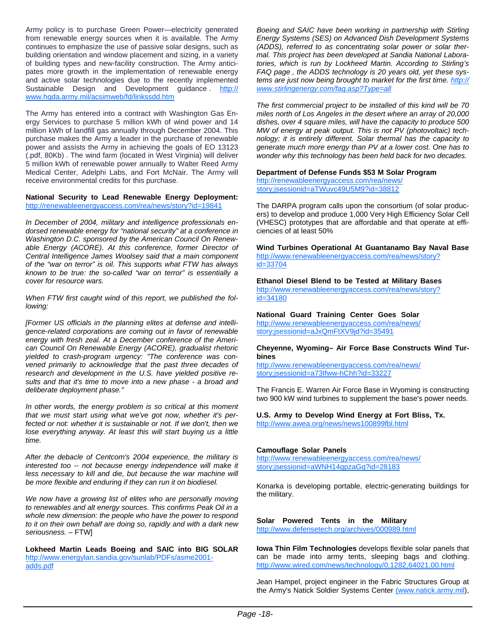Army policy is to purchase Green Power—electricity generated from renewable energy sources when it is available. The Army continues to emphasize the use of passive solar designs, such as building orientation and window placement and sizing, in a variety of building types and new-facility construction. The Army anticipates more growth in the implementation of renewable energy and active solar technologies due to the recently implemented Sustainable Design and Development guidance . http:// www.hqda.army.mil/acsimweb/fd/linkssdd.htm

The Army has entered into a contract with Washington Gas Energy Services to purchase 5 million kWh of wind power and 14 million kWh of landfill gas annually through December 2004. This purchase makes the Army a leader in the purchase of renewable power and assists the Army in achieving the goals of EO 13123 (.pdf, 80Kb) . The wind farm (located in West Virginia) will deliver 5 million kWh of renewable power annually to Walter Reed Army Medical Center, Adelphi Labs, and Fort McNair. The Army will receive environmental credits for this purchase.

#### **National Security to Lead Renewable Energy Deployment:**  http://renewableenergyaccess.com/rea/news/story?id=19841

*In December of 2004, military and intelligence professionals endorsed renewable energy for "national security" at a conference in Washington D.C. sponsored by the American Council On Renewable Energy (ACORE). At this conference, former Director of Central Intelligence James Woolsey said that a main component of the "war on terror" is oil. This supports what FTW has always known to be true: the so-called "war on terror" is essentially a cover for resource wars.*

*When FTW first caught wind of this report, we published the following:* 

*[Former US officials in the planning elites at defense and intelligence-related corporations are coming out in favor of renewable energy with fresh zeal. At a December conference of the American Council On Renewable Energy (ACORE), gradualist rhetoric yielded to crash-program urgency: "The conference was convened primarily to acknowledge that the past three decades of research and development in the U.S. have yielded positive results and that it's time to move into a new phase - a broad and deliberate deployment phase."* 

*In other words, the energy problem is so critical at this moment that we must start using what we've got now, whether it's perfected or not: whether it is sustainable or not. If we don't, then we lose everything anyway. At least this will start buying us a little time.* 

*After the debacle of Centcom's 2004 experience, the military is interested too -- not because energy independence will make it less necessary to kill and die, but because the war machine will be more flexible and enduring if they can run it on biodiesel.* 

*We now have a growing list of elites who are personally moving to renewables and alt energy sources. This confirms Peak Oil in a whole new dimension: the people who have the power to respond to it on their own behalf are doing so, rapidly and with a dark new seriousness. –* FTW]

**Lokheed Martin Leads Boeing and SAIC into BIG SOLAR**  http://www.energylan.sandia.gov/sunlab/PDFs/asme2001 adds.pdf

*Boeing and SAIC have been working in partnership with Stirling Energy Systems (SES) on Advanced Dish Development Systems (ADDS), referred to as concentrating solar power or solar thermal. This project has been developed at Sandia National Laboratories, which is run by Lockheed Martin. According to Stirling's FAQ page , the ADDS technology is 20 years old, yet these systems are just now being brought to market for the first time. http:// www.stirlingenergy.com/faq.asp?Type=all*

*The first commercial project to be installed of this kind will be 70 miles north of Los Angeles in the desert where an array of 20,000 dishes, over 4 square miles, will have the capacity to produce 500 MW of energy at peak output. This is not PV (photovoltaic) technology; it is entirely different. Solar thermal has the capacity to generate much more energy than PV at a lower cost. One has to wonder why this technology has been held back for two decades.* 

## **Department of Defense Funds \$53 M Solar Program**

http://renewableenergyaccess.com/rea/news/ story;jsessionid=aTWuvc49U5M9?id=38812

The DARPA program calls upon the consortium (of solar producers) to develop and produce 1,000 Very High Efficiency Solar Cell (VHESC) prototypes that are affordable and that operate at efficiencies of at least 50%

**Wind Turbines Operational At Guantanamo Bay Naval Base**  http://www.renewableenergyaccess.com/rea/news/story? id=33704

**Ethanol Diesel Blend to be Tested at Military Bases**  http://www.renewableenergyaccess.com/rea/news/story? id=34180

**National Guard Training Center Goes Solar**  http://www.renewableenergyaccess.com/rea/news/ story;jsessionid=aJxQmFtXV9jd?id=35491

#### **Cheyenne, Wyoming– Air Force Base Constructs Wind Turbines**

http://www.renewableenergyaccess.com/rea/news/ story;jsessionid=a73Ifww-hChh?id=33227

The Francis E. Warren Air Force Base in Wyoming is constructing two 900 kW wind turbines to supplement the base's power needs.

#### **U.S. Army to Develop Wind Energy at Fort Bliss, Tx.**  http://www.awea.org/news/news100899fbl.html

#### **Camouflage Solar Panels**

http://www.renewableenergyaccess.com/rea/news/ story;jsessionid=aWNH14gpzaGg?id=28183

Konarka is developing portable, electric-generating buildings for the military.

#### **Solar Powered Tents in the Military**

http://www.defensetech.org/archives/000989.html

**Iowa Thin Film Technologies** develops flexible solar panels that can be made into army tents, sleeping bags and clothing. http://www.wired.com/news/technology/0,1282,64021,00.html

Jean Hampel, project engineer in the Fabric Structures Group at the Army's Natick Soldier Systems Center (www.natick.army.mil),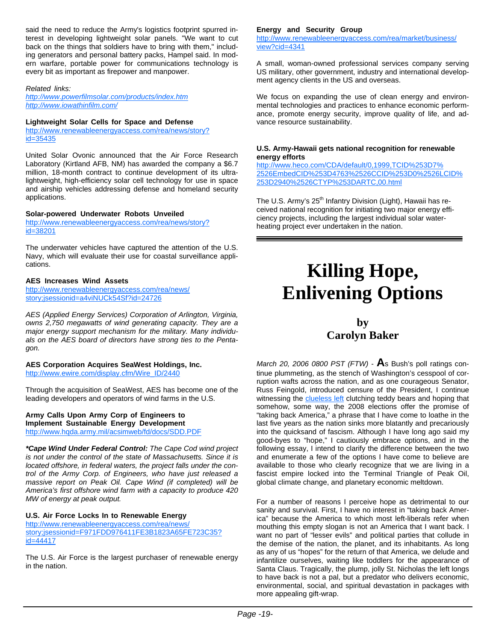said the need to reduce the Army's logistics footprint spurred interest in developing lightweight solar panels. "We want to cut back on the things that soldiers have to bring with them," including generators and personal battery packs, Hampel said. In modern warfare, portable power for communications technology is every bit as important as firepower and manpower.

*Related links:* 

*http://www.powerfilmsolar.com/products/index.htm http://www.iowathinfilm.com/*

#### **Lightweight Solar Cells for Space and Defense**

http://www.renewableenergyaccess.com/rea/news/story? id=35435

United Solar Ovonic announced that the Air Force Research Laboratory (Kirtland AFB, NM) has awarded the company a \$6.7 million, 18-month contract to continue development of its ultralightweight, high-efficiency solar cell technology for use in space and airship vehicles addressing defense and homeland security applications.

#### **Solar-powered Underwater Robots Unveiled**

http://www.renewableenergyaccess.com/rea/news/story? id=38201

The underwater vehicles have captured the attention of the U.S. Navy, which will evaluate their use for coastal surveillance applications.

#### **AES Increases Wind Assets**

http://www.renewableenergyaccess.com/rea/news/ story;jsessionid=a4viNUCk54Sf?id=24726

*AES (Applied Energy Services) Corporation of Arlington, Virginia, owns 2,750 megawatts of wind generating capacity. They are a major energy support mechanism for the military. Many individuals on the AES board of directors have strong ties to the Pentagon.* 

#### **AES Corporation Acquires SeaWest Holdings, Inc.**

http://www.ewire.com/display.cfm/Wire\_ID/2440

Through the acquisition of SeaWest, AES has become one of the leading developers and operators of wind farms in the U.S.

**Army Calls Upon Army Corp of Engineers to Implement Sustainable Energy Development**  http://www.hqda.army.mil/acsimweb/fd/docs/SDD.PDF

*\*Cape Wind Under Federal Control: The Cape Cod wind project is not under the control of the state of Massachusetts. Since it is located offshore, in federal waters, the project falls under the control of the Army Corp. of Engineers, who have just released a massive report on Peak Oil. Cape Wind (if completed) will be America's first offshore wind farm with a capacity to produce 420 MW of energy at peak output.*

#### **U.S. Air Force Locks In to Renewable Energy**

http://www.renewableenergyaccess.com/rea/news/ story;jsessionid=F971FDD976411FE3B1823A65FE723C35? id=44417

The U.S. Air Force is the largest purchaser of renewable energy in the nation.

#### **Energy and Security Group**

http://www.renewableenergyaccess.com/rea/market/business/ view?cid=4341

A small, woman-owned professional services company serving US military, other government, industry and international development agency clients in the US and overseas.

We focus on expanding the use of clean energy and environmental technologies and practices to enhance economic performance, promote energy security, improve quality of life, and advance resource sustainability.

#### **U.S. Army-Hawaii gets national recognition for renewable energy efforts**

http://www.heco.com/CDA/default/0,1999,TCID%253D7% 2526EmbedCID%253D4763%2526CCID%253D0%2526LCID% 253D2940%2526CTYP%253DARTC,00.html

The U.S. Army's 25<sup>th</sup> Infantry Division (Light), Hawaii has received national recognition for initiating two major energy efficiency projects, including the largest individual solar waterheating project ever undertaken in the nation.

## **Killing Hope, Enlivening Options**

### **by Carolyn Baker**

*March 20, 2006 0800 PST (FTW)* - **A**s Bush's poll ratings continue plummeting, as the stench of Washington's cesspool of corruption wafts across the nation, and as one courageous Senator, Russ Feingold, introduced censure of the President, I continue witnessing the **clueless left** clutching teddy bears and hoping that somehow, some way, the 2008 elections offer the promise of "taking back America," a phrase that I have come to loathe in the last five years as the nation sinks more blatantly and precariously into the quicksand of fascism. Although I have long ago said my good-byes to "hope," I cautiously embrace options, and in the following essay, I intend to clarify the difference between the two and enumerate a few of the options I have come to believe are available to those who clearly recognize that we are living in a fascist empire locked into the Terminal Triangle of Peak Oil, global climate change, and planetary economic meltdown.

For a number of reasons I perceive hope as detrimental to our sanity and survival. First, I have no interest in "taking back America" because the America to which most left-liberals refer when mouthing this empty slogan is not an America that I want back. I want no part of "lesser evils" and political parties that collude in the demise of the nation, the planet, and its inhabitants. As long as any of us "hopes" for the return of that America, we delude and infantilize ourselves, waiting like toddlers for the appearance of Santa Claus. Tragically, the plump, jolly St. Nicholas the left longs to have back is not a pal, but a predator who delivers economic, environmental, social, and spiritual devastation in packages with more appealing gift-wrap.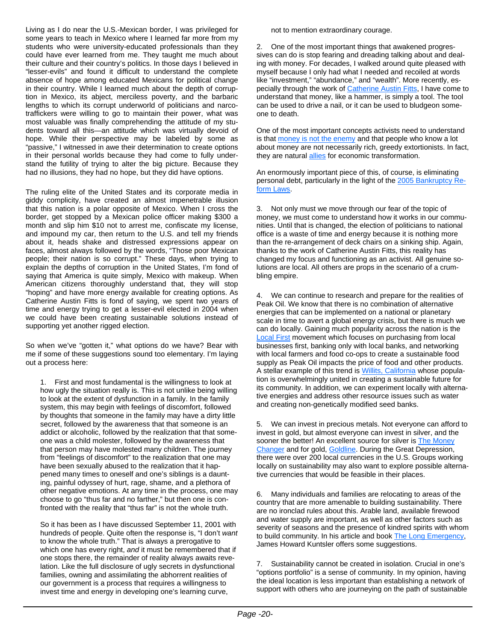Living as I do near the U.S.-Mexican border, I was privileged for some years to teach in Mexico where I learned far more from my students who were university-educated professionals than they could have ever learned from me. They taught me much about their culture and their country's politics. In those days I believed in "lesser-evils" and found it difficult to understand the complete absence of hope among educated Mexicans for political change in their country. While I learned much about the depth of corruption in Mexico, its abject, merciless poverty, and the barbaric lengths to which its corrupt underworld of politicians and narcotraffickers were willing to go to maintain their power, what was most valuable was finally comprehending the attitude of my students toward all this—an attitude which was virtually devoid of hope. While their perspective may be labeled by some as "passive," I witnessed in awe their determination to create options in their personal worlds because they had come to fully understand the futility of trying to alter the big picture. Because they had no illusions, they had no hope, but they did have options.

The ruling elite of the United States and its corporate media in giddy complicity, have created an almost impenetrable illusion that this nation is a polar opposite of Mexico. When I cross the border, get stopped by a Mexican police officer making \$300 a month and slip him \$10 not to arrest me, confiscate my license, and impound my car, then return to the U.S. and tell my friends about it, heads shake and distressed expressions appear on faces, almost always followed by the words, "Those poor Mexican people; their nation is so corrupt." These days, when trying to explain the depths of corruption in the United States, I'm fond of saying that America is quite simply, Mexico with makeup. When American citizens thoroughly understand that, they will stop "hoping" and have more energy available for creating options. As Catherine Austin Fitts is fond of saying, we spent two years of time and energy trying to get a lesser-evil elected in 2004 when we could have been creating sustainable solutions instead of supporting yet another rigged election.

So when we've "gotten it," what options do we have? Bear with me if some of these suggestions sound too elementary. I'm laying out a process here:

1. First and most fundamental is the willingness to look at how ugly the situation really is. This is not unlike being willing to look at the extent of dysfunction in a family. In the family system, this may begin with feelings of discomfort, followed by thoughts that someone in the family may have a dirty little secret, followed by the awareness that that someone is an addict or alcoholic, followed by the realization that that someone was a child molester, followed by the awareness that that person may have molested many children. The journey from "feelings of discomfort" to the realization that one may have been sexually abused to the realization that it happened many times to oneself and one's siblings is a daunting, painful odyssey of hurt, rage, shame, and a plethora of other negative emotions. At any time in the process, one may choose to go "thus far and no farther," but then one is confronted with the reality that "thus far" is not the whole truth.

So it has been as I have discussed September 11, 2001 with hundreds of people. Quite often the response is, "I don't *want* to know the whole truth." That is always a prerogative to which one has every right, *and* it must be remembered that if one stops there, the remainder of reality always awaits revelation. Like the full disclosure of ugly secrets in dysfunctional families, owning and assimilating the abhorrent realities of our government is a process that requires a willingness to invest time and energy in developing one's learning curve,

not to mention extraordinary courage.

2. One of the most important things that awakened progressives can do is stop fearing and dreading talking about and dealing with money. For decades, I walked around quite pleased with myself because I only had what I needed and recoiled at words like "investment," "abundance," and "wealth". More recently, especially through the work of Catherine Austin Fitts, I have come to understand that money, like a hammer, is simply a tool. The tool can be used to drive a nail, or it can be used to bludgeon someone to death.

One of the most important concepts activists need to understand is that money is not the enemy and that people who know a lot about money are not necessarily rich, greedy extortionists. In fact, they are natural allies for economic transformation.

An enormously important piece of this, of course, is eliminating personal debt, particularly in the light of the 2005 Bankruptcy Reform Laws.

3. Not only must we move through our fear of the topic of money, we must come to understand how it works in our communities. Until that is changed, the election of politicians to national office is a waste of time and energy because it is nothing more than the re-arrangement of deck chairs on a sinking ship. Again, thanks to the work of Catherine Austin Fitts, this reality has changed my focus and functioning as an activist. All genuine solutions are local. All others are props in the scenario of a crumbling empire.

4. We can continue to research and prepare for the realities of Peak Oil. We know that there is no combination of alternative energies that can be implemented on a national or planetary scale in time to avert a global energy crisis, but there is much we can do locally. Gaining much popularity across the nation is the Local First movement which focuses on purchasing from local businesses first, banking only with local banks, and networking with local farmers and food co-ops to create a sustainable food supply as Peak Oil impacts the price of food and other products. A stellar example of this trend is Willits, California whose population is overwhelmingly united in creating a sustainable future for its community. In addition, we can experiment locally with alternative energies and address other resource issues such as water and creating non-genetically modified seed banks.

5. We can invest in precious metals. Not everyone can afford to invest in gold, but almost everyone can invest in silver, and the sooner the better! An excellent source for silver is **The Money** Changer and for gold, Goldline. During the Great Depression, there were over 200 local currencies in the U.S. Groups working locally on sustainability may also want to explore possible alternative currencies that would be feasible in their places.

6. Many individuals and families are relocating to areas of the country that are more amenable to building sustainability. There are no ironclad rules about this. Arable land, available firewood and water supply are important, as well as other factors such as severity of seasons and the presence of kindred spirits with whom to build community. In his article and book The Long Emergency, James Howard Kuntsler offers some suggestions.

7. Sustainability cannot be created in isolation. Crucial in one's "options portfolio" is a sense of community. In my opinion, having the ideal location is less important than establishing a network of support with others who are journeying on the path of sustainable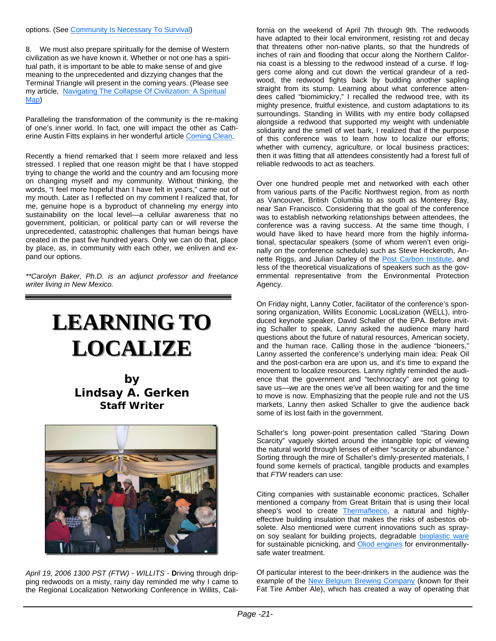8. We must also prepare spiritually for the demise of Western civilization as we have known it. Whether or not one has a spiritual path, it is important to be able to make sense of and give meaning to the unprecedented and dizzying changes that the Terminal Triangle will present in the coming years. (Please see my article, Navigating The Collapse Of Civilization: A Spiritual Map)

Paralleling the transformation of the community is the re-making of one's inner world. In fact, one will impact the other as Catherine Austin Fitts explains in her wonderful article Coming Clean.

Recently a friend remarked that I seem more relaxed and less stressed. I replied that one reason might be that I have stopped trying to change the world and the country and am focusing more on changing myself and my community. Without thinking, the words, "I feel more hopeful than I have felt in years," came out of my mouth. Later as I reflected on my comment I realized that, for me, genuine hope is a byproduct of channeling my energy into sustainability on the local level—a cellular awareness that no government, politician, or political party can or will reverse the unprecedented, catastrophic challenges that human beings have created in the past five hundred years. Only we can do that, place by place, as, in community with each other, we enliven and expand our options.

*\*\*Carolyn Baker, Ph.D. is an adjunct professor and freelance writer living in New Mexico.* 

# **LEARNING TO LOCALIZE LOCALIZE**

**by Lindsay A. Gerken Staff Writer**



*April 19, 2006 1300 PST (FTW) - WILLITS* - **D**riving through dripping redwoods on a misty, rainy day reminded me why I came to the Regional Localization Networking Conference in Willits, California on the weekend of April 7th through 9th. The redwoods have adapted to their local environment, resisting rot and decay that threatens other non-native plants, so that the hundreds of inches of rain and flooding that occur along the Northern California coast is a blessing to the redwood instead of a curse. If loggers come along and cut down the vertical grandeur of a redwood, the redwood fights back by budding another sapling straight from its stump. Learning about what conference attendees called "biomimickry," I recalled the redwood tree, with its mighty presence, fruitful existence, and custom adaptations to its surroundings. Standing in Willits with my entire body collapsed alongside a redwood that supported my weight with undeniable solidarity and the smell of wet bark, I realized that if the purpose of this conference was to learn how to localize our efforts; whether with currency, agriculture, or local business practices; then it was fitting that all attendees consistently had a forest full of reliable redwoods to act as teachers.

Over one hundred people met and networked with each other from various parts of the Pacific Northwest region, from as north as Vancouver, British Columbia to as south as Monterey Bay, near San Francisco. Considering that the goal of the conference was to establish networking relationships between attendees, the conference was a raving success. At the same time though, I would have liked to have heard more from the highly informational, spectacular speakers (some of whom weren't even originally on the conference schedule) such as Steve Heckeroth, Annette Riggs, and Julian Darley of the Post Carbon Institute, and less of the theoretical visualizations of speakers such as the governmental representative from the Environmental Protection Agency.

On Friday night, Lanny Cotler, facilitator of the conference's sponsoring organization, Willits Economic LocaLization (WELL), introduced keynote speaker, David Schaller of the EPA. Before inviting Schaller to speak, Lanny asked the audience many hard questions about the future of natural resources, American society, and the human race. Calling those in the audience "bioneers," Lanny asserted the conference's underlying main idea: Peak Oil and the post-carbon era are upon us, and it's time to expand the movement to localize resources. Lanny rightly reminded the audience that the government and "technocracy" are not going to save us—we are the ones we've all been waiting for and the time to move is now. Emphasizing that the people rule and not the US markets, Lanny then asked Schaller to give the audience back some of its lost faith in the government.

Schaller's long power-point presentation called "Staring Down Scarcity" vaguely skirted around the intangible topic of viewing the natural world through lenses of either "scarcity or abundance." Sorting through the mire of Schaller's dimly-presented materials, I found some kernels of practical, tangible products and examples that *FTW* readers can use:

Citing companies with sustainable economic practices, Schaller mentioned a company from Great Britain that is using their local sheep's wool to create Thermafleece, a natural and highlyeffective building insulation that makes the risks of asbestos obsolete. Also mentioned were current innovations such as sprayon soy sealant for building projects, degradable bioplastic ware for sustainable picnicking, and Oliod engines for environmentallysafe water treatment.

Of particular interest to the beer-drinkers in the audience was the example of the New Belgium Brewing Company (known for their Fat Tire Amber Ale), which has created a way of operating that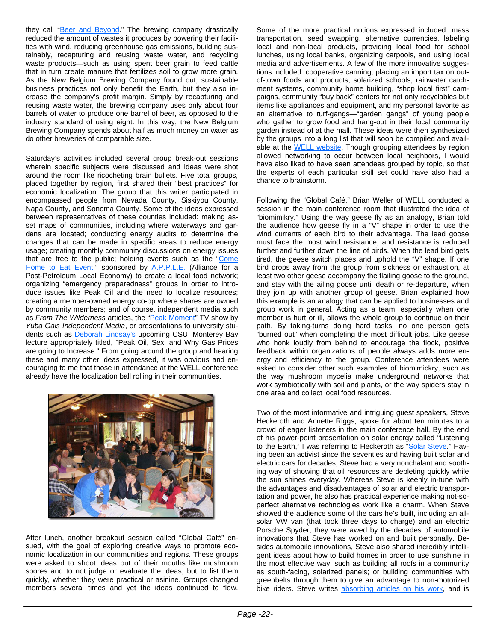they call "Beer and Beyond." The brewing company drastically reduced the amount of wastes it produces by powering their facilities with wind, reducing greenhouse gas emissions, building sustainably, recapturing and reusing waste water, and recycling waste products—such as using spent beer grain to feed cattle that in turn create manure that fertilizes soil to grow more grain. As the New Belgium Brewing Company found out, sustainable business practices not only benefit the Earth, but they also increase the company's profit margin. Simply by recapturing and reusing waste water, the brewing company uses only about four barrels of water to produce one barrel of beer, as opposed to the industry standard of using eight. In this way, the New Belgium Brewing Company spends about half as much money on water as do other breweries of comparable size.

Saturday's activities included several group break-out sessions wherein specific subjects were discussed and ideas were shot around the room like ricocheting brain bullets. Five total groups, placed together by region, first shared their "best practices" for economic localization. The group that this writer participated in encompassed people from Nevada County, Siskiyou County, Napa County, and Sonoma County. Some of the ideas expressed between representatives of these counties included: making asset maps of communities, including where waterways and gardens are located; conducting energy audits to determine the changes that can be made in specific areas to reduce energy usage; creating monthly community discussions on energy issues that are free to the public; holding events such as the "Come Home to Eat Event," sponsored by A.P.P.L.E. (Alliance for a Post-Petroleum Local Economy) to create a local food network; organizing "emergency preparedness" groups in order to introduce issues like Peak Oil and the need to localize resources; creating a member-owned energy co-op where shares are owned by community members; and of course, independent media such as *From The Wilderness* articles, the "Peak Moment" TV show by *Yuba Gals Independent Media*, or presentations to university students such as **Deborah Lindsay's** upcoming CSU, Monterey Bay lecture appropriately titled, "Peak Oil, Sex, and Why Gas Prices are going to Increase." From going around the group and hearing these and many other ideas expressed, it was obvious and encouraging to me that those in attendance at the WELL conference already have the localization ball rolling in their communities.



After lunch, another breakout session called "Global Café" ensued, with the goal of exploring creative ways to promote economic localization in our communities and regions. These groups were asked to shoot ideas out of their mouths like mushroom spores and to not judge or evaluate the ideas, but to list them quickly, whether they were practical or asinine. Groups changed members several times and yet the ideas continued to flow. Some of the more practical notions expressed included: mass transportation, seed swapping, alternative currencies, labeling local and non-local products, providing local food for school lunches, using local banks, organizing carpools, and using local media and advertisements. A few of the more innovative suggestions included: cooperative canning, placing an import tax on outof-town foods and products, solarized schools, rainwater catchment systems, community home building, "shop local first" campaigns, community "buy back" centers for not only recyclables but items like appliances and equipment, and my personal favorite as an alternative to turf-gangs—"garden gangs" of young people who gather to grow food and hang-out in their local community garden instead of at the mall. These ideas were then synthesized by the groups into a long list that will soon be compiled and available at the WELL website. Though grouping attendees by region allowed networking to occur between local neighbors, I would have also liked to have seen attendees grouped by topic, so that the experts of each particular skill set could have also had a chance to brainstorm.

Following the "Global Café," Brian Weller of WELL conducted a session in the main conference room that illustrated the idea of "biomimikry." Using the way geese fly as an analogy, Brian told the audience how geese fly in a "V" shape in order to use the wind currents of each bird to their advantage. The lead goose must face the most wind resistance, and resistance is reduced further and further down the line of birds. When the lead bird gets tired, the geese switch places and uphold the "V" shape. If one bird drops away from the group from sickness or exhaustion, at least two other geese accompany the flailing goose to the ground, and stay with the ailing goose until death or re-departure, when they join up with another group of geese. Brian explained how this example is an analogy that can be applied to businesses and group work in general. Acting as a team, especially when one member is hurt or ill, allows the whole group to continue on their path. By taking-turns doing hard tasks, no one person gets "burned out" when completing the most difficult jobs. Like geese who honk loudly from behind to encourage the flock, positive feedback within organizations of people always adds more energy and efficiency to the group. Conference attendees were asked to consider other such examples of biomimickry, such as the way mushroom mycelia make underground networks that work symbiotically with soil and plants, or the way spiders stay in one area and collect local food resources.

Two of the most informative and intriguing guest speakers, Steve Heckeroth and Annette Riggs, spoke for about ten minutes to a crowd of eager listeners in the main conference hall. By the end of his power-point presentation on solar energy called "Listening to the Earth," I was referring to Heckeroth as "Solar Steve." Having been an activist since the seventies and having built solar and electric cars for decades, Steve had a very nonchalant and soothing way of showing that oil resources are depleting quickly while the sun shines everyday. Whereas Steve is keenly in-tune with the advantages and disadvantages of solar and electric transportation and power, he also has practical experience making not-soperfect alternative technologies work like a charm. When Steve showed the audience some of the cars he's built, including an allsolar VW van (that took three days to charge) and an electric Porsche Spyder, they were awed by the decades of automobile innovations that Steve has worked on and built personally. Besides automobile innovations, Steve also shared incredibly intelligent ideas about how to build homes in order to use sunshine in the most effective way; such as building all roofs in a community as south-facing, solarized panels; or building communities with greenbelts through them to give an advantage to non-motorized bike riders. Steve writes absorbing articles on his work, and is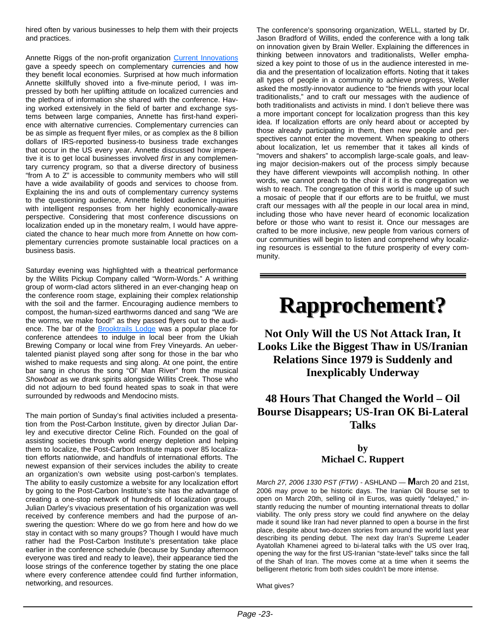hired often by various businesses to help them with their projects and practices.

Annette Riggs of the non-profit organization Current Innovations gave a speedy speech on complementary currencies and how they benefit local economies. Surprised at how much information Annette skillfully shoved into a five-minute period, I was impressed by both her uplifting attitude on localized currencies and the plethora of information she shared with the conference. Having worked extensively in the field of barter and exchange systems between large companies, Annette has first-hand experience with alternative currencies. Complementary currencies can be as simple as frequent flyer miles, or as complex as the 8 billion dollars of IRS-reported business-to business trade exchanges that occur in the US every year. Annette discussed how imperative it is to get local businesses involved *first* in any complementary currency program, so that a diverse directory of business "from A to Z" is accessible to community members who will still have a wide availability of goods and services to choose from. Explaining the ins and outs of complementary currency systems to the questioning audience, Annette fielded audience inquiries with intelligent responses from her highly economically-aware perspective. Considering that most conference discussions on localization ended up in the monetary realm, I would have appreciated the chance to hear much more from Annette on how complementary currencies promote sustainable local practices on a business basis.

Saturday evening was highlighted with a theatrical performance by the Willits Pickup Company called "Worm-Words." A writhing group of worm-clad actors slithered in an ever-changing heap on the conference room stage, explaining their complex relationship with the soil and the farmer. Encouraging audience members to compost, the human-sized earthworms danced and sang "We are the worms, we make food!" as they passed flyers out to the audience. The bar of the Brooktrails Lodge was a popular place for conference attendees to indulge in local beer from the Ukiah Brewing Company or local wine from Frey Vineyards. An uebertalented pianist played song after song for those in the bar who wished to make requests and sing along. At one point, the entire bar sang in chorus the song "Ol' Man River" from the musical *Showboat* as we drank spirits alongside Willits Creek. Those who did not adjourn to bed found heated spas to soak in that were surrounded by redwoods and Mendocino mists.

The main portion of Sunday's final activities included a presentation from the Post-Carbon Institute, given by director Julian Darley and executive director Celine Rich. Founded on the goal of assisting societies through world energy depletion and helping them to localize, the Post-Carbon Institute maps over 85 localization efforts nationwide, and handfuls of international efforts. The newest expansion of their services includes the ability to create an organization's own website using post-carbon's templates. The ability to easily customize a website for any localization effort by going to the Post-Carbon Institute's site has the advantage of creating a one-stop network of hundreds of localization groups. Julian Darley's vivacious presentation of his organization was well received by conference members and had the purpose of answering the question: Where do we go from here and how do we stay in contact with so many groups? Though I would have much rather had the Post-Carbon Institute's presentation take place earlier in the conference schedule (because by Sunday afternoon everyone was tired and ready to leave), their appearance tied the loose strings of the conference together by stating the one place where every conference attendee could find further information, networking, and resources.

The conference's sponsoring organization, WELL, started by Dr. Jason Bradford of Willits, ended the conference with a long talk on innovation given by Brain Weller. Explaining the differences in thinking between innovators and traditionalists, Weller emphasized a key point to those of us in the audience interested in media and the presentation of localization efforts. Noting that it takes all types of people in a community to achieve progress, Weller asked the mostly-innovator audience to "be friends with your local traditionalists," and to craft our messages with the audience of both traditionalists and activists in mind. I don't believe there was a more important concept for localization progress than this key idea. If localization efforts are only heard about or accepted by those already participating in them, then new people and perspectives cannot enter the movement. When speaking to others about localization, let us remember that it takes all kinds of "movers and shakers" to accomplish large-scale goals, and leaving major decision-makers out of the process simply because they have different viewpoints will accomplish nothing. In other words, we cannot preach to the choir if it is the congregation we wish to reach. The congregation of this world is made up of such a mosaic of people that if our efforts are to be fruitful, we must craft our messages with *all* the people in our local area in mind, including those who have never heard of economic localization before or those who want to resist it. Once our messages are crafted to be more inclusive, new people from various corners of our communities will begin to listen and comprehend why localizing resources is essential to the future prosperity of every community.

# **Rapprochement? Rapprochement?**

**Not Only Will the US Not Attack Iran, It Looks Like the Biggest Thaw in US/Iranian Relations Since 1979 is Suddenly and Inexplicably Underway** 

## **48 Hours That Changed the World – Oil Bourse Disappears; US-Iran OK Bi-Lateral Talks**

### **by Michael C. Ruppert**

*March 27, 2006 1330 PST (FTW) -* ASHLAND — **M**arch 20 and 21st, 2006 may prove to be historic days. The Iranian Oil Bourse set to open on March 20th, selling oil in Euros, was quietly "delayed," instantly reducing the number of mounting international threats to dollar viability. The only press story we could find anywhere on the delay made it sound like Iran had never planned to open a bourse in the first place, despite about two-dozen stories from around the world last year describing its pending debut. The next day Iran's Supreme Leader Ayatollah Khamenei agreed to bi-lateral talks with the US over Iraq, opening the way for the first US-Iranian "state-level" talks since the fall of the Shah of Iran. The moves come at a time when it seems the belligerent rhetoric from both sides couldn't be more intense.

What gives?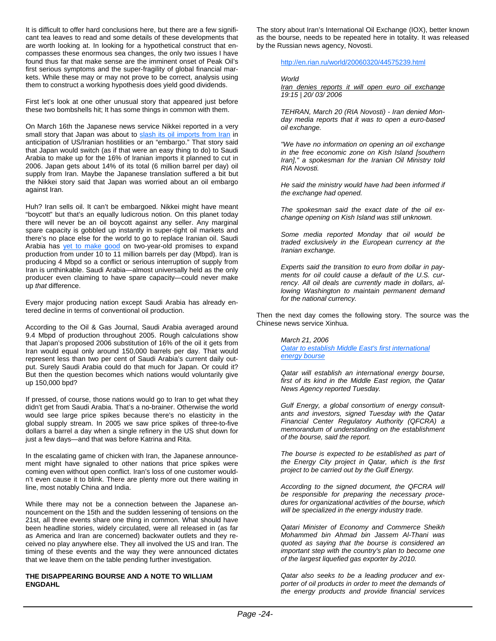It is difficult to offer hard conclusions here, but there are a few significant tea leaves to read and some details of these developments that are worth looking at. In looking for a hypothetical construct that encompasses these enormous sea changes, the only two issues I have found thus far that make sense are the imminent onset of Peak Oil's first serious symptoms and the super-fragility of global financial markets. While these may or may not prove to be correct, analysis using them to construct a working hypothesis does yield good dividends.

First let's look at one other unusual story that appeared just before these two bombshells hit; It has some things in common with them.

On March 16th the Japanese news service Nikkei reported in a very small story that Japan was about to slash its oil imports from Iran in anticipation of US/Iranian hostilities or an "embargo." That story said that Japan would switch (as if that were an easy thing to do) to Saudi Arabia to make up for the 16% of Iranian imports it planned to cut in 2006. Japan gets about 14% of its total (6 million barrel per day) oil supply from Iran. Maybe the Japanese translation suffered a bit but the Nikkei story said that Japan was worried about an oil embargo against Iran.

Huh? Iran sells oil. It can't be embargoed. Nikkei might have meant "boycott" but that's an equally ludicrous notion. On this planet today there will never be an oil boycott against any seller. Any marginal spare capacity is gobbled up instantly in super-tight oil markets and there's no place else for the world to go to replace Iranian oil. Saudi Arabia has **yet to make good** on two-year-old promises to expand production from under 10 to 11 million barrels per day (Mbpd). Iran is producing 4 Mbpd so a conflict or serious interruption of supply from Iran is unthinkable. Saudi Arabia—almost universally held as the only producer even claiming to have spare capacity—could never make up *that* difference.

Every major producing nation except Saudi Arabia has already entered decline in terms of conventional oil production.

According to the Oil & Gas Journal, Saudi Arabia averaged around 9.4 Mbpd of production throughout 2005. Rough calculations show that Japan's proposed 2006 substitution of 16% of the oil it gets from Iran would equal only around 150,000 barrels per day. That would represent less than two per cent of Saudi Arabia's current daily output. Surely Saudi Arabia could do that much for Japan. Or could it? But then the question becomes which nations would voluntarily give up 150,000 bpd?

If pressed, of course, those nations would go to Iran to get what they didn't get from Saudi Arabia. That's a no-brainer. Otherwise the world would see large price spikes because there's no elasticity in the global supply stream. In 2005 we saw price spikes of three-to-five dollars a barrel a day when a single refinery in the US shut down for just a few days—and that was before Katrina and Rita.

In the escalating game of chicken with Iran, the Japanese announcement might have signaled to other nations that price spikes were coming even without open conflict. Iran's loss of one customer wouldn't even cause it to blink. There are plenty more out there waiting in line, most notably China and India.

While there may not be a connection between the Japanese announcement on the 15th and the sudden lessening of tensions on the 21st, all three events share one thing in common. What should have been headline stories, widely circulated, were all released in (as far as America and Iran are concerned) backwater outlets and they received no play anywhere else. They all involved the US and Iran. The timing of these events and the way they were announced dictates that we leave them on the table pending further investigation.

#### **THE DISAPPEARING BOURSE AND A NOTE TO WILLIAM ENGDAHL**

The story about Iran's International Oil Exchange (IOX), better known as the bourse, needs to be repeated here in totality. It was released by the Russian news agency, Novosti.

http://en.rian.ru/world/20060320/44575239.html

#### *World*

*Iran denies reports it will open euro oil exchange 19:15 | 20/ 03/ 2006*

*TEHRAN, March 20 (RIA Novosti) - Iran denied Monday media reports that it was to open a euro-based oil exchange.*

*"We have no information on opening an oil exchange in the free economic zone on Kish Island [southern Iran]," a spokesman for the Iranian Oil Ministry told RIA Novosti.*

*He said the ministry would have had been informed if the exchange had opened.*

*The spokesman said the exact date of the oil exchange opening on Kish Island was still unknown.*

*Some media reported Monday that oil would be traded exclusively in the European currency at the Iranian exchange.*

*Experts said the transition to euro from dollar in payments for oil could cause a default of the U.S. currency. All oil deals are currently made in dollars, allowing Washington to maintain permanent demand for the national currency.*

Then the next day comes the following story. The source was the Chinese news service Xinhua.

*March 21, 2006* 

*Qatar to establish Middle East's first international energy bourse*

*Qatar will establish an international energy bourse, first of its kind in the Middle East region, the Qatar News Agency reported Tuesday.*

*Gulf Energy, a global consortium of energy consultants and investors, signed Tuesday with the Qatar Financial Center Regulatory Authority (QFCRA) a memorandum of understanding on the establishment of the bourse, said the report.*

*The bourse is expected to be established as part of the Energy City project in Qatar, which is the first project to be carried out by the Gulf Energy.*

*According to the signed document, the QFCRA will be responsible for preparing the necessary procedures for organizational activities of the bourse, which will be specialized in the energy industry trade.*

*Qatari Minister of Economy and Commerce Sheikh Mohammed bin Ahmad bin Jassem Al-Thani was quoted as saying that the bourse is considered an important step with the country's plan to become one of the largest liquefied gas exporter by 2010.*

*Qatar also seeks to be a leading producer and exporter of oil products in order to meet the demands of the energy products and provide financial services*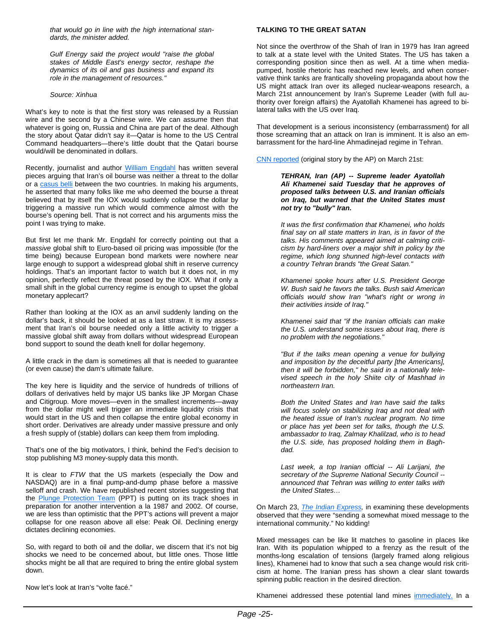*that would go in line with the high international standards, the minister added.*

*Gulf Energy said the project would "raise the global stakes of Middle East's energy sector, reshape the dynamics of its oil and gas business and expand its role in the management of resources."*

#### *Source: Xinhua*

What's key to note is that the first story was released by a Russian wire and the second by a Chinese wire. We can assume then that whatever is going on, Russia and China are part of the deal. Although the story about Qatar didn't say it—Qatar is home to the US Central Command headquarters—there's little doubt that the Qatari bourse would/will be denominated in dollars.

Recently, journalist and author William Engdahl has written several pieces arguing that Iran's oil bourse was neither a threat to the dollar or a casus belli between the two countries. In making his arguments, he asserted that many folks like me who deemed the bourse a threat believed that by itself the IOX would suddenly collapse the dollar by triggering a massive run which would commence almost with the bourse's opening bell. That is not correct and his arguments miss the point I was trying to make.

But first let me thank Mr. Engdahl for correctly pointing out that a *massive* global shift to Euro-based oil pricing was impossible (for the time being) because European bond markets were nowhere near large enough to support a widespread global shift in reserve currency holdings. That's an important factor to watch but it does not, in my opinion, perfectly reflect the threat posed by the IOX. What if only a small shift in the global currency regime is enough to upset the global monetary applecart?

Rather than looking at the IOX as an anvil suddenly landing on the dollar's back, it should be looked at as a last straw. It is my assessment that Iran's oil bourse needed only a little activity to trigger a massive global shift away from dollars without widespread European bond support to sound the death knell for dollar hegemony.

A little crack in the dam is sometimes all that is needed to guarantee (or even cause) the dam's ultimate failure.

The key here is liquidity and the service of hundreds of trillions of dollars of derivatives held by major US banks like JP Morgan Chase and Citigroup. More moves—even in the smallest increments—away from the dollar might well trigger an immediate liquidity crisis that would start in the US and then collapse the entire global economy in short order. Derivatives are already under massive pressure and only a fresh supply of (stable) dollars can keep them from imploding.

That's one of the big motivators, I think, behind the Fed's decision to stop publishing M3 money-supply data this month.

It is clear to *FTW* that the US markets (especially the Dow and NASDAQ) are in a final pump-and-dump phase before a massive selloff and crash. We have republished recent stories suggesting that the **Plunge Protection Team** (PPT) is putting on its track shoes in preparation for another intervention a la 1987 and 2002. Of course, we are less than optimistic that the PPT's actions will prevent a major collapse for one reason above all else: Peak Oil. Declining energy dictates declining economies.

So, with regard to both oil and the dollar, we discern that it's not big shocks we need to be concerned about, but little ones. Those little shocks might be all that are required to bring the entire global system down.

Now let's look at Iran's "volte facé."

#### **TALKING TO THE GREAT SATAN**

Not since the overthrow of the Shah of Iran in 1979 has Iran agreed to talk at a state level with the United States. The US has taken a corresponding position since then as well. At a time when mediapumped, hostile rhetoric has reached new levels, and when conservative think tanks are frantically shoveling propaganda about how the US might attack Iran over its alleged nuclear-weapons research, a March 21st announcement by Iran's Supreme Leader (with full authority over foreign affairs) the Ayatollah Khamenei has agreed to bilateral talks with the US over Iraq.

That development is a serious inconsistency (embarrassment) for all those screaming that an attack on Iran is imminent. It is also an embarrassment for the hard-line Ahmadinejad regime in Tehran.

CNN reported (original story by the AP) on March 21st:

*TEHRAN, Iran (AP) -- Supreme leader Ayatollah Ali Khamenei said Tuesday that he approves of proposed talks between U.S. and Iranian officials on Iraq, but warned that the United States must not try to "bully" Iran.*

*It was the first confirmation that Khamenei, who holds final say on all state matters in Iran, is in favor of the talks. His comments appeared aimed at calming criticism by hard-liners over a major shift in policy by the regime, which long shunned high-level contacts with a country Tehran brands "the Great Satan."*

*Khamenei spoke hours after U.S. President George W. Bush said he favors the talks. Bush said American officials would show Iran "what's right or wrong in their activities inside of Iraq."*

*Khamenei said that "if the Iranian officials can make the U.S. understand some issues about Iraq, there is no problem with the negotiations."*

*"But if the talks mean opening a venue for bullying and imposition by the deceitful party [the Americans], then it will be forbidden," he said in a nationally televised speech in the holy Shiite city of Mashhad in northeastern Iran.*

*Both the United States and Iran have said the talks will focus solely on stabilizing Iraq and not deal with the heated issue of Iran's nuclear program. No time or place has yet been set for talks, though the U.S. ambassador to Iraq, Zalmay Khalilzad, who is to head the U.S. side, has proposed holding them in Baghdad.*

*Last week, a top Iranian official -- Ali Larijani, the secretary of the Supreme National Security Council - announced that Tehran was willing to enter talks with the United States…*

On March 23, *The Indian Express,* in examining these developments observed that they were "sending a somewhat mixed message to the international community." No kidding!

Mixed messages can be like lit matches to gasoline in places like Iran. With its population whipped to a frenzy as the result of the months-long escalation of tensions (largely framed along religious lines), Khamenei had to know that such a sea change would risk criticism at home. The Iranian press has shown a clear slant towards spinning public reaction in the desired direction.

Khamenei addressed these potential land mines immediately. In a